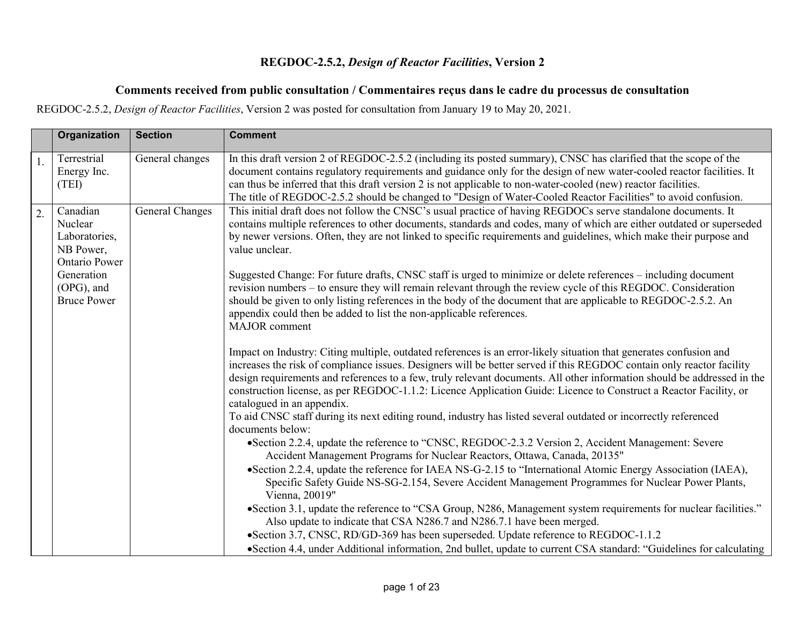## **REGDOC-2.5.2,** *Design of Reactor Facilities***, Version 2**

## **Comments received from public consultation / Commentaires reçus dans le cadre du processus de consultation**

REGDOC-2.5.2, *Design of Reactor Facilities*, Version 2 was posted for consultation from January 19 to May 20, 2021.

|    | Organization                                                              | <b>Section</b>  | <b>Comment</b>                                                                                                                                                                                                                                                                                                                                                                                                                                                                                                                                                                                                                                                   |
|----|---------------------------------------------------------------------------|-----------------|------------------------------------------------------------------------------------------------------------------------------------------------------------------------------------------------------------------------------------------------------------------------------------------------------------------------------------------------------------------------------------------------------------------------------------------------------------------------------------------------------------------------------------------------------------------------------------------------------------------------------------------------------------------|
|    | Terrestrial<br>Energy Inc.<br>(TEI)                                       | General changes | In this draft version 2 of REGDOC-2.5.2 (including its posted summary), CNSC has clarified that the scope of the<br>document contains regulatory requirements and guidance only for the design of new water-cooled reactor facilities. It<br>can thus be inferred that this draft version 2 is not applicable to non-water-cooled (new) reactor facilities.<br>The title of REGDOC-2.5.2 should be changed to "Design of Water-Cooled Reactor Facilities" to avoid confusion.                                                                                                                                                                                    |
| 2. | Canadian<br>Nuclear<br>Laboratories,<br>NB Power,<br><b>Ontario Power</b> | General Changes | This initial draft does not follow the CNSC's usual practice of having REGDOCs serve standalone documents. It<br>contains multiple references to other documents, standards and codes, many of which are either outdated or superseded<br>by newer versions. Often, they are not linked to specific requirements and guidelines, which make their purpose and<br>value unclear.                                                                                                                                                                                                                                                                                  |
|    | Generation<br>(OPG), and<br><b>Bruce Power</b>                            |                 | Suggested Change: For future drafts, CNSC staff is urged to minimize or delete references - including document<br>revision numbers – to ensure they will remain relevant through the review cycle of this REGDOC. Consideration<br>should be given to only listing references in the body of the document that are applicable to REGDOC-2.5.2. An<br>appendix could then be added to list the non-applicable references.<br>MAJOR comment                                                                                                                                                                                                                        |
|    |                                                                           |                 | Impact on Industry: Citing multiple, outdated references is an error-likely situation that generates confusion and<br>increases the risk of compliance issues. Designers will be better served if this REGDOC contain only reactor facility<br>design requirements and references to a few, truly relevant documents. All other information should be addressed in the<br>construction license, as per REGDOC-1.1.2: Licence Application Guide: Licence to Construct a Reactor Facility, or<br>catalogued in an appendix.<br>To aid CNSC staff during its next editing round, industry has listed several outdated or incorrectly referenced<br>documents below: |
|    |                                                                           |                 | • Section 2.2.4, update the reference to "CNSC, REGDOC-2.3.2 Version 2, Accident Management: Severe<br>Accident Management Programs for Nuclear Reactors, Ottawa, Canada, 20135"<br>• Section 2.2.4, update the reference for IAEA NS-G-2.15 to "International Atomic Energy Association (IAEA),<br>Specific Safety Guide NS-SG-2.154, Severe Accident Management Programmes for Nuclear Power Plants,<br>Vienna, 20019"                                                                                                                                                                                                                                         |
|    |                                                                           |                 | • Section 3.1, update the reference to "CSA Group, N286, Management system requirements for nuclear facilities."<br>Also update to indicate that CSA N286.7 and N286.7.1 have been merged.<br>•Section 3.7, CNSC, RD/GD-369 has been superseded. Update reference to REGDOC-1.1.2<br>• Section 4.4, under Additional information, 2nd bullet, update to current CSA standard: "Guidelines for calculating                                                                                                                                                                                                                                                        |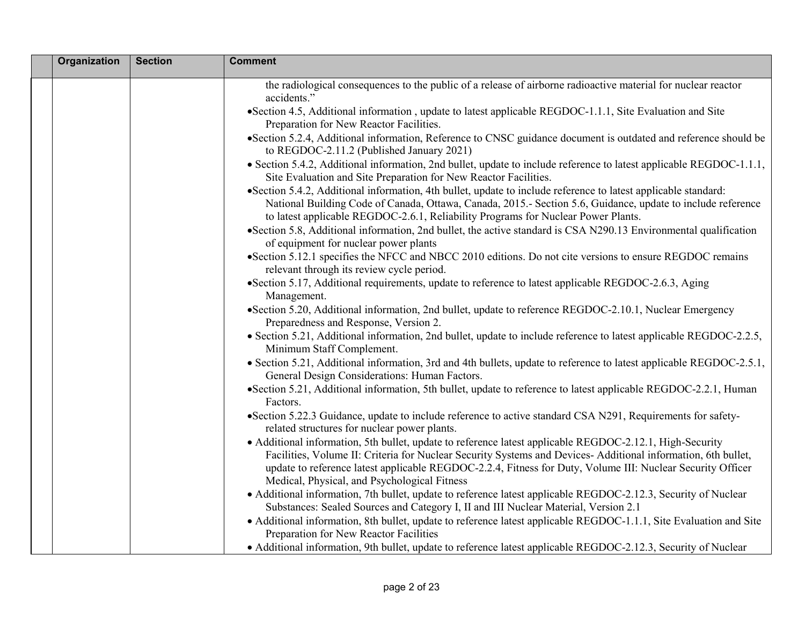| Organization | <b>Section</b> | <b>Comment</b>                                                                                                                                                                                                                                                                                                                                                                          |
|--------------|----------------|-----------------------------------------------------------------------------------------------------------------------------------------------------------------------------------------------------------------------------------------------------------------------------------------------------------------------------------------------------------------------------------------|
|              |                | the radiological consequences to the public of a release of airborne radioactive material for nuclear reactor<br>accidents."                                                                                                                                                                                                                                                            |
|              |                | •Section 4.5, Additional information, update to latest applicable REGDOC-1.1.1, Site Evaluation and Site<br>Preparation for New Reactor Facilities.                                                                                                                                                                                                                                     |
|              |                | •Section 5.2.4, Additional information, Reference to CNSC guidance document is outdated and reference should be<br>to REGDOC-2.11.2 (Published January 2021)                                                                                                                                                                                                                            |
|              |                | • Section 5.4.2, Additional information, 2nd bullet, update to include reference to latest applicable REGDOC-1.1.1,<br>Site Evaluation and Site Preparation for New Reactor Facilities.                                                                                                                                                                                                 |
|              |                | • Section 5.4.2, Additional information, 4th bullet, update to include reference to latest applicable standard:<br>National Building Code of Canada, Ottawa, Canada, 2015.- Section 5.6, Guidance, update to include reference<br>to latest applicable REGDOC-2.6.1, Reliability Programs for Nuclear Power Plants.                                                                     |
|              |                | •Section 5.8, Additional information, 2nd bullet, the active standard is CSA N290.13 Environmental qualification<br>of equipment for nuclear power plants                                                                                                                                                                                                                               |
|              |                | • Section 5.12.1 specifies the NFCC and NBCC 2010 editions. Do not cite versions to ensure REGDOC remains<br>relevant through its review cycle period.                                                                                                                                                                                                                                  |
|              |                | • Section 5.17, Additional requirements, update to reference to latest applicable REGDOC-2.6.3, Aging<br>Management.                                                                                                                                                                                                                                                                    |
|              |                | • Section 5.20, Additional information, 2nd bullet, update to reference REGDOC-2.10.1, Nuclear Emergency<br>Preparedness and Response, Version 2.                                                                                                                                                                                                                                       |
|              |                | • Section 5.21, Additional information, 2nd bullet, update to include reference to latest applicable REGDOC-2.2.5,<br>Minimum Staff Complement.                                                                                                                                                                                                                                         |
|              |                | • Section 5.21, Additional information, 3rd and 4th bullets, update to reference to latest applicable REGDOC-2.5.1,<br>General Design Considerations: Human Factors.                                                                                                                                                                                                                    |
|              |                | •Section 5.21, Additional information, 5th bullet, update to reference to latest applicable REGDOC-2.2.1, Human<br>Factors.                                                                                                                                                                                                                                                             |
|              |                | •Section 5.22.3 Guidance, update to include reference to active standard CSA N291, Requirements for safety-<br>related structures for nuclear power plants.                                                                                                                                                                                                                             |
|              |                | • Additional information, 5th bullet, update to reference latest applicable REGDOC-2.12.1, High-Security<br>Facilities, Volume II: Criteria for Nuclear Security Systems and Devices- Additional information, 6th bullet,<br>update to reference latest applicable REGDOC-2.2.4, Fitness for Duty, Volume III: Nuclear Security Officer<br>Medical, Physical, and Psychological Fitness |
|              |                | • Additional information, 7th bullet, update to reference latest applicable REGDOC-2.12.3, Security of Nuclear<br>Substances: Sealed Sources and Category I, II and III Nuclear Material, Version 2.1                                                                                                                                                                                   |
|              |                | • Additional information, 8th bullet, update to reference latest applicable REGDOC-1.1.1, Site Evaluation and Site<br>Preparation for New Reactor Facilities                                                                                                                                                                                                                            |
|              |                | • Additional information, 9th bullet, update to reference latest applicable REGDOC-2.12.3, Security of Nuclear                                                                                                                                                                                                                                                                          |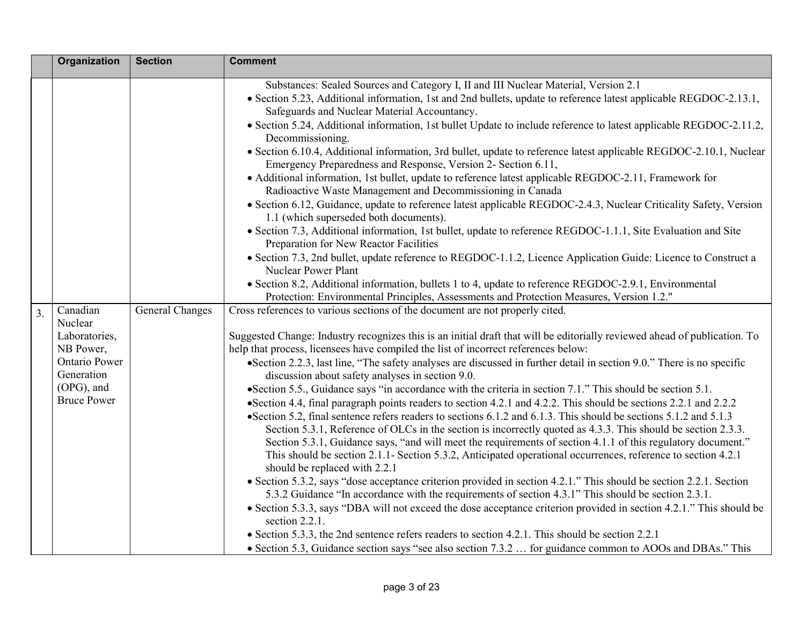|    | Organization                | <b>Section</b>  | <b>Comment</b>                                                                                                                                                                                                                |
|----|-----------------------------|-----------------|-------------------------------------------------------------------------------------------------------------------------------------------------------------------------------------------------------------------------------|
|    |                             |                 | Substances: Sealed Sources and Category I, II and III Nuclear Material, Version 2.1                                                                                                                                           |
|    |                             |                 | • Section 5.23, Additional information, 1st and 2nd bullets, update to reference latest applicable REGDOC-2.13.1,<br>Safeguards and Nuclear Material Accountancy.                                                             |
|    |                             |                 | • Section 5.24, Additional information, 1st bullet Update to include reference to latest applicable REGDOC-2.11.2,<br>Decommissioning.                                                                                        |
|    |                             |                 | • Section 6.10.4, Additional information, 3rd bullet, update to reference latest applicable REGDOC-2.10.1, Nuclear<br>Emergency Preparedness and Response, Version 2- Section 6.11,                                           |
|    |                             |                 | • Additional information, 1st bullet, update to reference latest applicable REGDOC-2.11, Framework for<br>Radioactive Waste Management and Decommissioning in Canada                                                          |
|    |                             |                 | • Section 6.12, Guidance, update to reference latest applicable REGDOC-2.4.3, Nuclear Criticality Safety, Version<br>1.1 (which superseded both documents).                                                                   |
|    |                             |                 | • Section 7.3, Additional information, 1st bullet, update to reference REGDOC-1.1.1, Site Evaluation and Site<br>Preparation for New Reactor Facilities                                                                       |
|    |                             |                 | • Section 7.3, 2nd bullet, update reference to REGDOC-1.1.2, Licence Application Guide: Licence to Construct a<br><b>Nuclear Power Plant</b>                                                                                  |
|    |                             |                 | • Section 8.2, Additional information, bullets 1 to 4, update to reference REGDOC-2.9.1, Environmental<br>Protection: Environmental Principles, Assessments and Protection Measures, Version 1.2."                            |
| 3. | Canadian<br>Nuclear         | General Changes | Cross references to various sections of the document are not properly cited.                                                                                                                                                  |
|    | Laboratories,<br>NB Power,  |                 | Suggested Change: Industry recognizes this is an initial draft that will be editorially reviewed ahead of publication. To<br>help that process, licensees have compiled the list of incorrect references below:               |
|    | Ontario Power<br>Generation |                 | • Section 2.2.3, last line, "The safety analyses are discussed in further detail in section 9.0." There is no specific<br>discussion about safety analyses in section 9.0.                                                    |
|    | (OPG), and                  |                 | • Section 5.5., Guidance says "in accordance with the criteria in section 7.1." This should be section 5.1.                                                                                                                   |
|    | <b>Bruce Power</b>          |                 | • Section 4.4, final paragraph points readers to section 4.2.1 and 4.2.2. This should be sections 2.2.1 and 2.2.2                                                                                                             |
|    |                             |                 | • Section 5.2, final sentence refers readers to sections 6.1.2 and 6.1.3. This should be sections 5.1.2 and 5.1.3                                                                                                             |
|    |                             |                 | Section 5.3.1, Reference of OLCs in the section is incorrectly quoted as 4.3.3. This should be section 2.3.3.<br>Section 5.3.1, Guidance says, "and will meet the requirements of section 4.1.1 of this regulatory document." |
|    |                             |                 | This should be section 2.1.1- Section 5.3.2, Anticipated operational occurrences, reference to section 4.2.1<br>should be replaced with 2.2.1                                                                                 |
|    |                             |                 | • Section 5.3.2, says "dose acceptance criterion provided in section 4.2.1." This should be section 2.2.1. Section                                                                                                            |
|    |                             |                 | 5.3.2 Guidance "In accordance with the requirements of section 4.3.1" This should be section 2.3.1.                                                                                                                           |
|    |                             |                 | • Section 5.3.3, says "DBA will not exceed the dose acceptance criterion provided in section 4.2.1." This should be<br>section 2.2.1.                                                                                         |
|    |                             |                 | • Section 5.3.3, the 2nd sentence refers readers to section 4.2.1. This should be section 2.2.1                                                                                                                               |
|    |                             |                 | • Section 5.3, Guidance section says "see also section 7.3.2  for guidance common to AOOs and DBAs." This                                                                                                                     |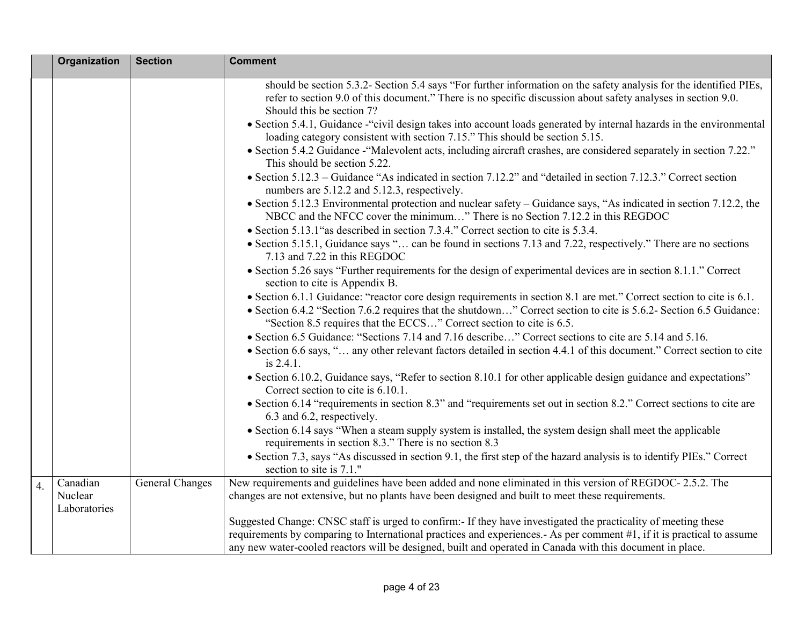|    | Organization            | <b>Section</b>         | <b>Comment</b>                                                                                                                                                                                                                                                   |
|----|-------------------------|------------------------|------------------------------------------------------------------------------------------------------------------------------------------------------------------------------------------------------------------------------------------------------------------|
|    |                         |                        | should be section 5.3.2- Section 5.4 says "For further information on the safety analysis for the identified PIEs,<br>refer to section 9.0 of this document." There is no specific discussion about safety analyses in section 9.0.<br>Should this be section 7? |
|    |                         |                        | • Section 5.4.1, Guidance - "civil design takes into account loads generated by internal hazards in the environmental<br>loading category consistent with section 7.15." This should be section 5.15.                                                            |
|    |                         |                        | • Section 5.4.2 Guidance - "Malevolent acts, including aircraft crashes, are considered separately in section 7.22."<br>This should be section 5.22.                                                                                                             |
|    |                         |                        | • Section 5.12.3 – Guidance "As indicated in section 7.12.2" and "detailed in section 7.12.3." Correct section<br>numbers are 5.12.2 and 5.12.3, respectively.                                                                                                   |
|    |                         |                        | • Section 5.12.3 Environmental protection and nuclear safety – Guidance says, "As indicated in section 7.12.2, the<br>NBCC and the NFCC cover the minimum" There is no Section 7.12.2 in this REGDOC                                                             |
|    |                         |                        | • Section 5.13.1" as described in section 7.3.4." Correct section to cite is 5.3.4.                                                                                                                                                                              |
|    |                         |                        | • Section 5.15.1, Guidance says " can be found in sections 7.13 and 7.22, respectively." There are no sections<br>7.13 and 7.22 in this REGDOC                                                                                                                   |
|    |                         |                        | • Section 5.26 says "Further requirements for the design of experimental devices are in section 8.1.1." Correct<br>section to cite is Appendix B.                                                                                                                |
|    |                         |                        | • Section 6.1.1 Guidance: "reactor core design requirements in section 8.1 are met." Correct section to cite is 6.1.                                                                                                                                             |
|    |                         |                        | • Section 6.4.2 "Section 7.6.2 requires that the shutdown" Correct section to cite is 5.6.2- Section 6.5 Guidance:<br>"Section 8.5 requires that the ECCS" Correct section to cite is 6.5.                                                                       |
|    |                         |                        | • Section 6.5 Guidance: "Sections 7.14 and 7.16 describe" Correct sections to cite are 5.14 and 5.16.                                                                                                                                                            |
|    |                         |                        | • Section 6.6 says, " any other relevant factors detailed in section 4.4.1 of this document." Correct section to cite<br>is 2.4.1.                                                                                                                               |
|    |                         |                        | • Section 6.10.2, Guidance says, "Refer to section 8.10.1 for other applicable design guidance and expectations"<br>Correct section to cite is 6.10.1.                                                                                                           |
|    |                         |                        | • Section 6.14 "requirements in section 8.3" and "requirements set out in section 8.2." Correct sections to cite are<br>6.3 and 6.2, respectively.                                                                                                               |
|    |                         |                        | • Section 6.14 says "When a steam supply system is installed, the system design shall meet the applicable<br>requirements in section 8.3." There is no section 8.3                                                                                               |
|    |                         |                        | • Section 7.3, says "As discussed in section 9.1, the first step of the hazard analysis is to identify PIEs." Correct<br>section to site is 7.1."                                                                                                                |
| 4. | Canadian                | <b>General Changes</b> | New requirements and guidelines have been added and none eliminated in this version of REGDOC-2.5.2. The                                                                                                                                                         |
|    | Nuclear<br>Laboratories |                        | changes are not extensive, but no plants have been designed and built to meet these requirements.                                                                                                                                                                |
|    |                         |                        | Suggested Change: CNSC staff is urged to confirm:- If they have investigated the practicality of meeting these                                                                                                                                                   |
|    |                         |                        | requirements by comparing to International practices and experiences.- As per comment #1, if it is practical to assume                                                                                                                                           |
|    |                         |                        | any new water-cooled reactors will be designed, built and operated in Canada with this document in place.                                                                                                                                                        |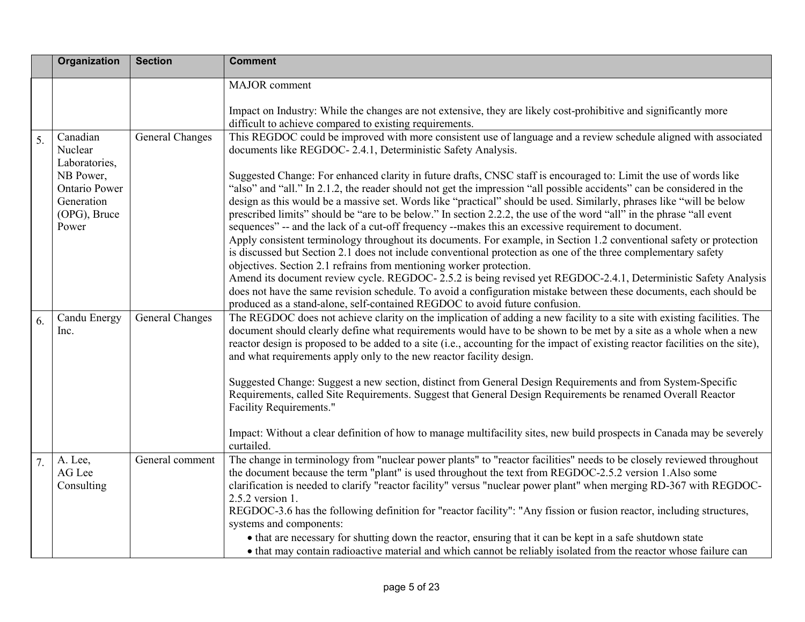|    | <b>Organization</b>                                               | <b>Section</b>         | <b>Comment</b>                                                                                                                                                                                                                                                                                                                                                                                                                                                                                                                                                                                                                                                                                                                                                                                                                                                                                                                                                                                                                                                                                                                                                                                                                              |
|----|-------------------------------------------------------------------|------------------------|---------------------------------------------------------------------------------------------------------------------------------------------------------------------------------------------------------------------------------------------------------------------------------------------------------------------------------------------------------------------------------------------------------------------------------------------------------------------------------------------------------------------------------------------------------------------------------------------------------------------------------------------------------------------------------------------------------------------------------------------------------------------------------------------------------------------------------------------------------------------------------------------------------------------------------------------------------------------------------------------------------------------------------------------------------------------------------------------------------------------------------------------------------------------------------------------------------------------------------------------|
|    |                                                                   |                        | MAJOR comment                                                                                                                                                                                                                                                                                                                                                                                                                                                                                                                                                                                                                                                                                                                                                                                                                                                                                                                                                                                                                                                                                                                                                                                                                               |
|    |                                                                   |                        | Impact on Industry: While the changes are not extensive, they are likely cost-prohibitive and significantly more<br>difficult to achieve compared to existing requirements.                                                                                                                                                                                                                                                                                                                                                                                                                                                                                                                                                                                                                                                                                                                                                                                                                                                                                                                                                                                                                                                                 |
| 5. | Canadian<br>Nuclear<br>Laboratories,                              | <b>General Changes</b> | This REGDOC could be improved with more consistent use of language and a review schedule aligned with associated<br>documents like REGDOC-2.4.1, Deterministic Safety Analysis.                                                                                                                                                                                                                                                                                                                                                                                                                                                                                                                                                                                                                                                                                                                                                                                                                                                                                                                                                                                                                                                             |
|    | NB Power,<br>Ontario Power<br>Generation<br>(OPG), Bruce<br>Power |                        | Suggested Change: For enhanced clarity in future drafts, CNSC staff is encouraged to: Limit the use of words like<br>"also" and "all." In 2.1.2, the reader should not get the impression "all possible accidents" can be considered in the<br>design as this would be a massive set. Words like "practical" should be used. Similarly, phrases like "will be below<br>prescribed limits" should be "are to be below." In section 2.2.2, the use of the word "all" in the phrase "all event<br>sequences" -- and the lack of a cut-off frequency --makes this an excessive requirement to document.<br>Apply consistent terminology throughout its documents. For example, in Section 1.2 conventional safety or protection<br>is discussed but Section 2.1 does not include conventional protection as one of the three complementary safety<br>objectives. Section 2.1 refrains from mentioning worker protection.<br>Amend its document review cycle. REGDOC-2.5.2 is being revised yet REGDOC-2.4.1, Deterministic Safety Analysis<br>does not have the same revision schedule. To avoid a configuration mistake between these documents, each should be<br>produced as a stand-alone, self-contained REGDOC to avoid future confusion. |
| 6. | Candu Energy<br>Inc.                                              | <b>General Changes</b> | The REGDOC does not achieve clarity on the implication of adding a new facility to a site with existing facilities. The<br>document should clearly define what requirements would have to be shown to be met by a site as a whole when a new<br>reactor design is proposed to be added to a site (i.e., accounting for the impact of existing reactor facilities on the site),<br>and what requirements apply only to the new reactor facility design.<br>Suggested Change: Suggest a new section, distinct from General Design Requirements and from System-Specific<br>Requirements, called Site Requirements. Suggest that General Design Requirements be renamed Overall Reactor<br><b>Facility Requirements."</b><br>Impact: Without a clear definition of how to manage multifacility sites, new build prospects in Canada may be severely<br>curtailed.                                                                                                                                                                                                                                                                                                                                                                              |
| 7. | A. Lee,<br>AG Lee<br>Consulting                                   | General comment        | The change in terminology from "nuclear power plants" to "reactor facilities" needs to be closely reviewed throughout<br>the document because the term "plant" is used throughout the text from REGDOC-2.5.2 version 1.Also some<br>clarification is needed to clarify "reactor facility" versus "nuclear power plant" when merging RD-367 with REGDOC-<br>2.5.2 version 1.<br>REGDOC-3.6 has the following definition for "reactor facility": "Any fission or fusion reactor, including structures,<br>systems and components:<br>• that are necessary for shutting down the reactor, ensuring that it can be kept in a safe shutdown state<br>• that may contain radioactive material and which cannot be reliably isolated from the reactor whose failure can                                                                                                                                                                                                                                                                                                                                                                                                                                                                            |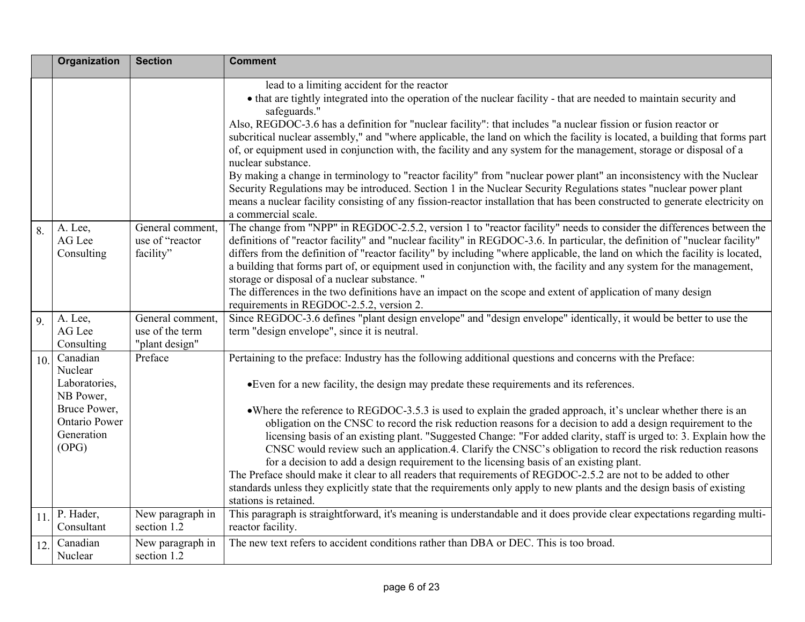|     | <b>Organization</b>        | <b>Section</b>                      | <b>Comment</b>                                                                                                                                                                                                                                                                                                               |
|-----|----------------------------|-------------------------------------|------------------------------------------------------------------------------------------------------------------------------------------------------------------------------------------------------------------------------------------------------------------------------------------------------------------------------|
|     |                            |                                     | lead to a limiting accident for the reactor                                                                                                                                                                                                                                                                                  |
|     |                            |                                     | • that are tightly integrated into the operation of the nuclear facility - that are needed to maintain security and<br>safeguards."                                                                                                                                                                                          |
|     |                            |                                     | Also, REGDOC-3.6 has a definition for "nuclear facility": that includes "a nuclear fission or fusion reactor or<br>subcritical nuclear assembly," and "where applicable, the land on which the facility is located, a building that forms part                                                                               |
|     |                            |                                     | of, or equipment used in conjunction with, the facility and any system for the management, storage or disposal of a<br>nuclear substance.                                                                                                                                                                                    |
|     |                            |                                     | By making a change in terminology to "reactor facility" from "nuclear power plant" an inconsistency with the Nuclear                                                                                                                                                                                                         |
|     |                            |                                     | Security Regulations may be introduced. Section 1 in the Nuclear Security Regulations states "nuclear power plant<br>means a nuclear facility consisting of any fission-reactor installation that has been constructed to generate electricity on                                                                            |
|     |                            |                                     | a commercial scale.                                                                                                                                                                                                                                                                                                          |
| 8.  | A. Lee,<br>AG Lee          | General comment,<br>use of "reactor | The change from "NPP" in REGDOC-2.5.2, version 1 to "reactor facility" needs to consider the differences between the<br>definitions of "reactor facility" and "nuclear facility" in REGDOC-3.6. In particular, the definition of "nuclear facility"                                                                          |
|     | Consulting                 | facility"                           | differs from the definition of "reactor facility" by including "where applicable, the land on which the facility is located,                                                                                                                                                                                                 |
|     |                            |                                     | a building that forms part of, or equipment used in conjunction with, the facility and any system for the management,                                                                                                                                                                                                        |
|     |                            |                                     | storage or disposal of a nuclear substance."<br>The differences in the two definitions have an impact on the scope and extent of application of many design                                                                                                                                                                  |
|     |                            |                                     | requirements in REGDOC-2.5.2, version 2.                                                                                                                                                                                                                                                                                     |
| 9.  | A. Lee,                    | General comment,                    | Since REGDOC-3.6 defines "plant design envelope" and "design envelope" identically, it would be better to use the                                                                                                                                                                                                            |
|     | AG Lee<br>Consulting       | use of the term<br>"plant design"   | term "design envelope", since it is neutral.                                                                                                                                                                                                                                                                                 |
| 10. | Canadian                   | Preface                             | Pertaining to the preface: Industry has the following additional questions and concerns with the Preface:                                                                                                                                                                                                                    |
|     | Nuclear                    |                                     |                                                                                                                                                                                                                                                                                                                              |
|     | Laboratories,<br>NB Power, |                                     | • Even for a new facility, the design may predate these requirements and its references.                                                                                                                                                                                                                                     |
|     | Bruce Power,               |                                     | • Where the reference to REGDOC-3.5.3 is used to explain the graded approach, it's unclear whether there is an                                                                                                                                                                                                               |
|     | <b>Ontario Power</b>       |                                     | obligation on the CNSC to record the risk reduction reasons for a decision to add a design requirement to the                                                                                                                                                                                                                |
|     | Generation<br>(OPG)        |                                     | licensing basis of an existing plant. "Suggested Change: "For added clarity, staff is urged to: 3. Explain how the<br>CNSC would review such an application.4. Clarify the CNSC's obligation to record the risk reduction reasons<br>for a decision to add a design requirement to the licensing basis of an existing plant. |
|     |                            |                                     | The Preface should make it clear to all readers that requirements of REGDOC-2.5.2 are not to be added to other                                                                                                                                                                                                               |
|     |                            |                                     | standards unless they explicitly state that the requirements only apply to new plants and the design basis of existing<br>stations is retained.                                                                                                                                                                              |
| 11. | P. Hader,<br>Consultant    | New paragraph in<br>section 1.2     | This paragraph is straightforward, it's meaning is understandable and it does provide clear expectations regarding multi-<br>reactor facility.                                                                                                                                                                               |
| 12. | Canadian<br>Nuclear        | New paragraph in<br>section 1.2     | The new text refers to accident conditions rather than DBA or DEC. This is too broad.                                                                                                                                                                                                                                        |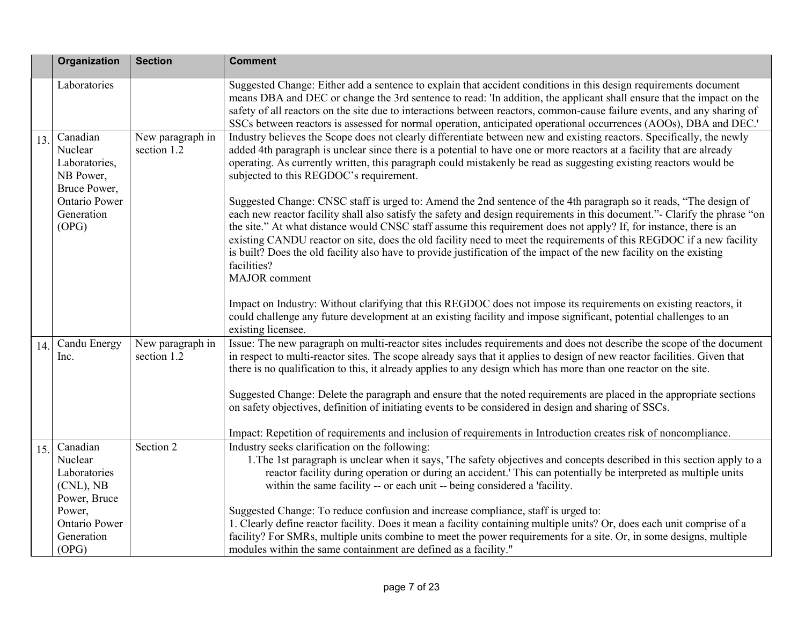|     | Organization                                                        | <b>Section</b>                  | <b>Comment</b>                                                                                                                                                                                                                                                                                                                                                                                                                                                                                                                                                                                                                                        |
|-----|---------------------------------------------------------------------|---------------------------------|-------------------------------------------------------------------------------------------------------------------------------------------------------------------------------------------------------------------------------------------------------------------------------------------------------------------------------------------------------------------------------------------------------------------------------------------------------------------------------------------------------------------------------------------------------------------------------------------------------------------------------------------------------|
|     | Laboratories                                                        |                                 | Suggested Change: Either add a sentence to explain that accident conditions in this design requirements document<br>means DBA and DEC or change the 3rd sentence to read: 'In addition, the applicant shall ensure that the impact on the<br>safety of all reactors on the site due to interactions between reactors, common-cause failure events, and any sharing of<br>SSCs between reactors is assessed for normal operation, anticipated operational occurrences (AOOs), DBA and DEC.                                                                                                                                                             |
| 13. | Canadian<br>Nuclear<br>Laboratories,<br>NB Power,<br>Bruce Power,   | New paragraph in<br>section 1.2 | Industry believes the Scope does not clearly differentiate between new and existing reactors. Specifically, the newly<br>added 4th paragraph is unclear since there is a potential to have one or more reactors at a facility that are already<br>operating. As currently written, this paragraph could mistakenly be read as suggesting existing reactors would be<br>subjected to this REGDOC's requirement.                                                                                                                                                                                                                                        |
|     | Ontario Power<br>Generation<br>(OPG)                                |                                 | Suggested Change: CNSC staff is urged to: Amend the 2nd sentence of the 4th paragraph so it reads, "The design of<br>each new reactor facility shall also satisfy the safety and design requirements in this document."- Clarify the phrase "on<br>the site." At what distance would CNSC staff assume this requirement does not apply? If, for instance, there is an<br>existing CANDU reactor on site, does the old facility need to meet the requirements of this REGDOC if a new facility<br>is built? Does the old facility also have to provide justification of the impact of the new facility on the existing<br>facilities?<br>MAJOR comment |
|     |                                                                     |                                 | Impact on Industry: Without clarifying that this REGDOC does not impose its requirements on existing reactors, it<br>could challenge any future development at an existing facility and impose significant, potential challenges to an<br>existing licensee.                                                                                                                                                                                                                                                                                                                                                                                          |
| 14. | Candu Energy<br>lnc.                                                | New paragraph in<br>section 1.2 | Issue: The new paragraph on multi-reactor sites includes requirements and does not describe the scope of the document<br>in respect to multi-reactor sites. The scope already says that it applies to design of new reactor facilities. Given that<br>there is no qualification to this, it already applies to any design which has more than one reactor on the site.                                                                                                                                                                                                                                                                                |
|     |                                                                     |                                 | Suggested Change: Delete the paragraph and ensure that the noted requirements are placed in the appropriate sections<br>on safety objectives, definition of initiating events to be considered in design and sharing of SSCs.<br>Impact: Repetition of requirements and inclusion of requirements in Introduction creates risk of noncompliance.                                                                                                                                                                                                                                                                                                      |
| 15. | Canadian<br>Nuclear<br>Laboratories<br>$(CNL)$ , NB<br>Power, Bruce | Section 2                       | Industry seeks clarification on the following:<br>1. The 1st paragraph is unclear when it says, 'The safety objectives and concepts described in this section apply to a<br>reactor facility during operation or during an accident.' This can potentially be interpreted as multiple units<br>within the same facility -- or each unit -- being considered a 'facility.                                                                                                                                                                                                                                                                              |
|     | Power,<br>Ontario Power<br>Generation<br>(OPG)                      |                                 | Suggested Change: To reduce confusion and increase compliance, staff is urged to:<br>1. Clearly define reactor facility. Does it mean a facility containing multiple units? Or, does each unit comprise of a<br>facility? For SMRs, multiple units combine to meet the power requirements for a site. Or, in some designs, multiple<br>modules within the same containment are defined as a facility."                                                                                                                                                                                                                                                |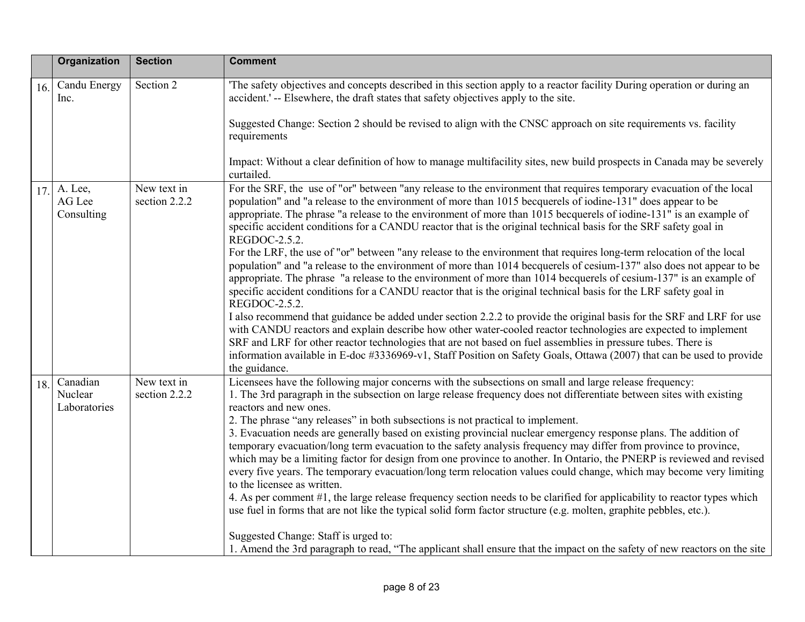|                                        | <b>Organization</b><br><b>Section</b>        | <b>Comment</b>                                                                                                                                                                                                                                                                                                                                                                                                                                                                                                                                                                                                                                                                                                                                                                                                                                                                                                                                                                                                                                                                                                                                                                                                                                       |
|----------------------------------------|----------------------------------------------|------------------------------------------------------------------------------------------------------------------------------------------------------------------------------------------------------------------------------------------------------------------------------------------------------------------------------------------------------------------------------------------------------------------------------------------------------------------------------------------------------------------------------------------------------------------------------------------------------------------------------------------------------------------------------------------------------------------------------------------------------------------------------------------------------------------------------------------------------------------------------------------------------------------------------------------------------------------------------------------------------------------------------------------------------------------------------------------------------------------------------------------------------------------------------------------------------------------------------------------------------|
| 16.<br>lnc.                            | Section 2<br>Candu Energy                    | The safety objectives and concepts described in this section apply to a reactor facility During operation or during an<br>accident.' -- Elsewhere, the draft states that safety objectives apply to the site.                                                                                                                                                                                                                                                                                                                                                                                                                                                                                                                                                                                                                                                                                                                                                                                                                                                                                                                                                                                                                                        |
|                                        |                                              | Suggested Change: Section 2 should be revised to align with the CNSC approach on site requirements vs. facility<br>requirements                                                                                                                                                                                                                                                                                                                                                                                                                                                                                                                                                                                                                                                                                                                                                                                                                                                                                                                                                                                                                                                                                                                      |
|                                        |                                              | Impact: Without a clear definition of how to manage multifacility sites, new build prospects in Canada may be severely<br>curtailed.                                                                                                                                                                                                                                                                                                                                                                                                                                                                                                                                                                                                                                                                                                                                                                                                                                                                                                                                                                                                                                                                                                                 |
| A. Lee,<br>17.<br>AG Lee<br>Consulting | New text in<br>section 2.2.2                 | For the SRF, the use of "or" between "any release to the environment that requires temporary evacuation of the local<br>population" and "a release to the environment of more than 1015 becquerels of iodine-131" does appear to be<br>appropriate. The phrase "a release to the environment of more than 1015 becquerels of iodine-131" is an example of<br>specific accident conditions for a CANDU reactor that is the original technical basis for the SRF safety goal in<br>REGDOC-2.5.2.<br>For the LRF, the use of "or" between "any release to the environment that requires long-term relocation of the local<br>population" and "a release to the environment of more than 1014 becquerels of cesium-137" also does not appear to be<br>appropriate. The phrase "a release to the environment of more than 1014 becquerels of cesium-137" is an example of<br>specific accident conditions for a CANDU reactor that is the original technical basis for the LRF safety goal in<br>REGDOC-2.5.2.<br>I also recommend that guidance be added under section 2.2.2 to provide the original basis for the SRF and LRF for use<br>with CANDU reactors and explain describe how other water-cooled reactor technologies are expected to implement |
|                                        |                                              | SRF and LRF for other reactor technologies that are not based on fuel assemblies in pressure tubes. There is<br>information available in E-doc #3336969-v1, Staff Position on Safety Goals, Ottawa (2007) that can be used to provide<br>the guidance.                                                                                                                                                                                                                                                                                                                                                                                                                                                                                                                                                                                                                                                                                                                                                                                                                                                                                                                                                                                               |
| Canadian<br>18.<br>Nuclear             | New text in<br>section 2.2.2<br>Laboratories | Licensees have the following major concerns with the subsections on small and large release frequency:<br>1. The 3rd paragraph in the subsection on large release frequency does not differentiate between sites with existing<br>reactors and new ones.<br>2. The phrase "any releases" in both subsections is not practical to implement.<br>3. Evacuation needs are generally based on existing provincial nuclear emergency response plans. The addition of<br>temporary evacuation/long term evacuation to the safety analysis frequency may differ from province to province,<br>which may be a limiting factor for design from one province to another. In Ontario, the PNERP is reviewed and revised<br>every five years. The temporary evacuation/long term relocation values could change, which may become very limiting<br>to the licensee as written.<br>4. As per comment #1, the large release frequency section needs to be clarified for applicability to reactor types which<br>use fuel in forms that are not like the typical solid form factor structure (e.g. molten, graphite pebbles, etc.).<br>Suggested Change: Staff is urged to:                                                                                         |
|                                        |                                              | 1. Amend the 3rd paragraph to read, "The applicant shall ensure that the impact on the safety of new reactors on the site                                                                                                                                                                                                                                                                                                                                                                                                                                                                                                                                                                                                                                                                                                                                                                                                                                                                                                                                                                                                                                                                                                                            |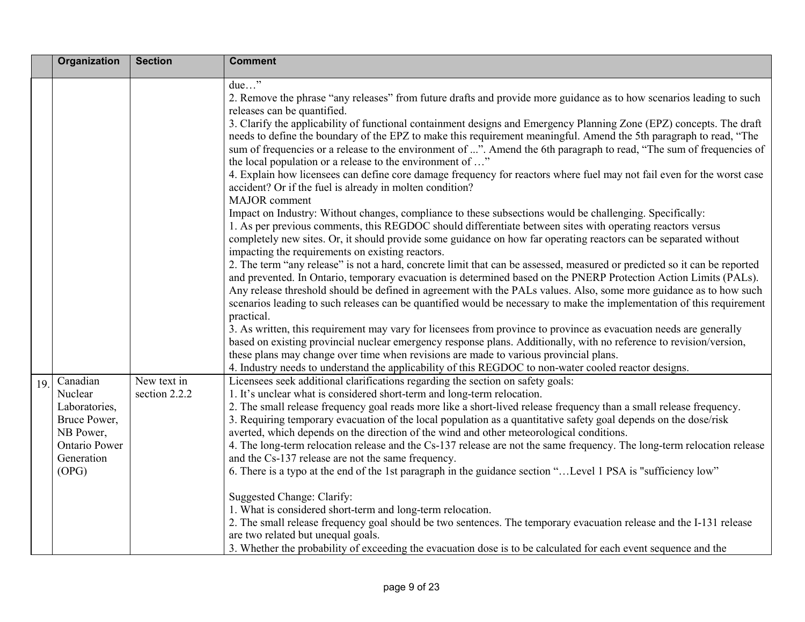|     | <b>Organization</b>                                                                                       | <b>Section</b>               | <b>Comment</b>                                                                                                                                                                                                                                                                                                                                                                                                                                                                                                                                                                                                                                                                                                                                                                                      |
|-----|-----------------------------------------------------------------------------------------------------------|------------------------------|-----------------------------------------------------------------------------------------------------------------------------------------------------------------------------------------------------------------------------------------------------------------------------------------------------------------------------------------------------------------------------------------------------------------------------------------------------------------------------------------------------------------------------------------------------------------------------------------------------------------------------------------------------------------------------------------------------------------------------------------------------------------------------------------------------|
|     |                                                                                                           |                              | due"<br>2. Remove the phrase "any releases" from future drafts and provide more guidance as to how scenarios leading to such<br>releases can be quantified.                                                                                                                                                                                                                                                                                                                                                                                                                                                                                                                                                                                                                                         |
|     |                                                                                                           |                              | 3. Clarify the applicability of functional containment designs and Emergency Planning Zone (EPZ) concepts. The draft<br>needs to define the boundary of the EPZ to make this requirement meaningful. Amend the 5th paragraph to read, "The<br>sum of frequencies or a release to the environment of ". Amend the 6th paragraph to read, "The sum of frequencies of<br>the local population or a release to the environment of "                                                                                                                                                                                                                                                                                                                                                                     |
|     |                                                                                                           |                              | 4. Explain how licensees can define core damage frequency for reactors where fuel may not fail even for the worst case<br>accident? Or if the fuel is already in molten condition?<br><b>MAJOR</b> comment                                                                                                                                                                                                                                                                                                                                                                                                                                                                                                                                                                                          |
|     |                                                                                                           |                              | Impact on Industry: Without changes, compliance to these subsections would be challenging. Specifically:<br>1. As per previous comments, this REGDOC should differentiate between sites with operating reactors versus<br>completely new sites. Or, it should provide some guidance on how far operating reactors can be separated without<br>impacting the requirements on existing reactors.                                                                                                                                                                                                                                                                                                                                                                                                      |
|     |                                                                                                           |                              | 2. The term "any release" is not a hard, concrete limit that can be assessed, measured or predicted so it can be reported<br>and prevented. In Ontario, temporary evacuation is determined based on the PNERP Protection Action Limits (PALs).<br>Any release threshold should be defined in agreement with the PALs values. Also, some more guidance as to how such<br>scenarios leading to such releases can be quantified would be necessary to make the implementation of this requirement                                                                                                                                                                                                                                                                                                      |
|     |                                                                                                           |                              | practical.<br>3. As written, this requirement may vary for licensees from province to province as evacuation needs are generally<br>based on existing provincial nuclear emergency response plans. Additionally, with no reference to revision/version,<br>these plans may change over time when revisions are made to various provincial plans.<br>4. Industry needs to understand the applicability of this REGDOC to non-water cooled reactor designs.                                                                                                                                                                                                                                                                                                                                           |
| 19. | Canadian<br>Nuclear<br>Laboratories,<br>Bruce Power,<br>NB Power,<br>Ontario Power<br>Generation<br>(OPG) | New text in<br>section 2.2.2 | Licensees seek additional clarifications regarding the section on safety goals:<br>1. It's unclear what is considered short-term and long-term relocation.<br>2. The small release frequency goal reads more like a short-lived release frequency than a small release frequency.<br>3. Requiring temporary evacuation of the local population as a quantitative safety goal depends on the dose/risk<br>averted, which depends on the direction of the wind and other meteorological conditions.<br>4. The long-term relocation release and the Cs-137 release are not the same frequency. The long-term relocation release<br>and the Cs-137 release are not the same frequency.<br>6. There is a typo at the end of the 1st paragraph in the guidance section " Level 1 PSA is "sufficiency low" |
|     |                                                                                                           |                              | Suggested Change: Clarify:<br>1. What is considered short-term and long-term relocation.<br>2. The small release frequency goal should be two sentences. The temporary evacuation release and the I-131 release<br>are two related but unequal goals.<br>3. Whether the probability of exceeding the evacuation dose is to be calculated for each event sequence and the                                                                                                                                                                                                                                                                                                                                                                                                                            |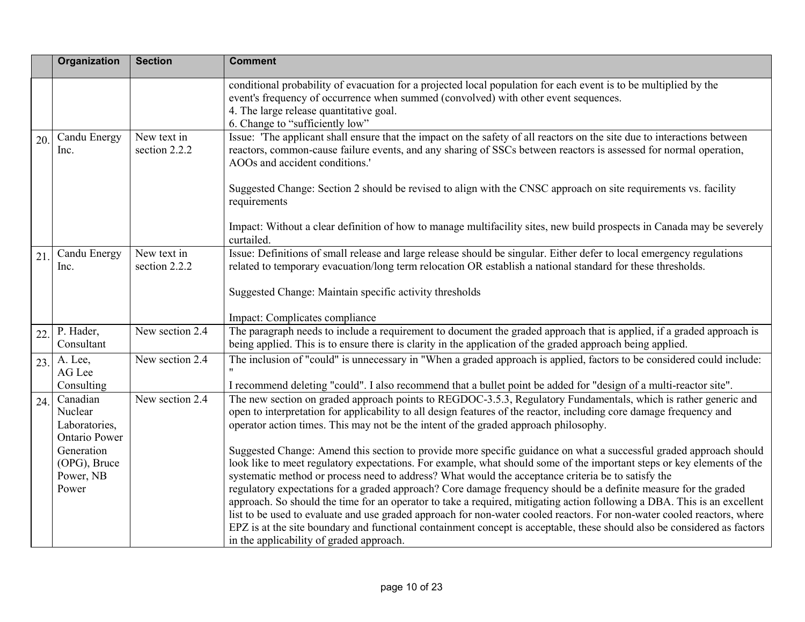|     | Organization                                                                                                     | <b>Section</b>               | <b>Comment</b>                                                                                                                                                                                                                                                                                                                                                                                                                                                                                                                                                                                                                                                                                                                                                                                                                                                                                                                       |
|-----|------------------------------------------------------------------------------------------------------------------|------------------------------|--------------------------------------------------------------------------------------------------------------------------------------------------------------------------------------------------------------------------------------------------------------------------------------------------------------------------------------------------------------------------------------------------------------------------------------------------------------------------------------------------------------------------------------------------------------------------------------------------------------------------------------------------------------------------------------------------------------------------------------------------------------------------------------------------------------------------------------------------------------------------------------------------------------------------------------|
|     |                                                                                                                  |                              | conditional probability of evacuation for a projected local population for each event is to be multiplied by the<br>event's frequency of occurrence when summed (convolved) with other event sequences.<br>4. The large release quantitative goal.<br>6. Change to "sufficiently low"                                                                                                                                                                                                                                                                                                                                                                                                                                                                                                                                                                                                                                                |
| 20. | Candu Energy<br>Inc.                                                                                             | New text in<br>section 2.2.2 | Issue: 'The applicant shall ensure that the impact on the safety of all reactors on the site due to interactions between<br>reactors, common-cause failure events, and any sharing of SSCs between reactors is assessed for normal operation,<br>AOOs and accident conditions.'<br>Suggested Change: Section 2 should be revised to align with the CNSC approach on site requirements vs. facility                                                                                                                                                                                                                                                                                                                                                                                                                                                                                                                                   |
|     |                                                                                                                  |                              | requirements<br>Impact: Without a clear definition of how to manage multifacility sites, new build prospects in Canada may be severely<br>curtailed.                                                                                                                                                                                                                                                                                                                                                                                                                                                                                                                                                                                                                                                                                                                                                                                 |
| 21  | Candu Energy<br>Inc.                                                                                             | New text in<br>section 2.2.2 | Issue: Definitions of small release and large release should be singular. Either defer to local emergency regulations<br>related to temporary evacuation/long term relocation OR establish a national standard for these thresholds.                                                                                                                                                                                                                                                                                                                                                                                                                                                                                                                                                                                                                                                                                                 |
|     |                                                                                                                  |                              | Suggested Change: Maintain specific activity thresholds<br>Impact: Complicates compliance                                                                                                                                                                                                                                                                                                                                                                                                                                                                                                                                                                                                                                                                                                                                                                                                                                            |
| 22. | P. Hader,<br>Consultant                                                                                          | New section $2.4$            | The paragraph needs to include a requirement to document the graded approach that is applied, if a graded approach is<br>being applied. This is to ensure there is clarity in the application of the graded approach being applied.                                                                                                                                                                                                                                                                                                                                                                                                                                                                                                                                                                                                                                                                                                  |
| 23. | A. Lee,<br>AG Lee<br>Consulting                                                                                  | New section 2.4              | The inclusion of "could" is unnecessary in "When a graded approach is applied, factors to be considered could include:<br>I recommend deleting "could". I also recommend that a bullet point be added for "design of a multi-reactor site".                                                                                                                                                                                                                                                                                                                                                                                                                                                                                                                                                                                                                                                                                          |
| 24. | Canadian<br>Nuclear<br>Laboratories,<br><b>Ontario Power</b><br>Generation<br>(OPG), Bruce<br>Power, NB<br>Power | New section 2.4              | The new section on graded approach points to REGDOC-3.5.3, Regulatory Fundamentals, which is rather generic and<br>open to interpretation for applicability to all design features of the reactor, including core damage frequency and<br>operator action times. This may not be the intent of the graded approach philosophy.<br>Suggested Change: Amend this section to provide more specific guidance on what a successful graded approach should<br>look like to meet regulatory expectations. For example, what should some of the important steps or key elements of the<br>systematic method or process need to address? What would the acceptance criteria be to satisfy the<br>regulatory expectations for a graded approach? Core damage frequency should be a definite measure for the graded<br>approach. So should the time for an operator to take a required, mitigating action following a DBA. This is an excellent |
|     |                                                                                                                  |                              | list to be used to evaluate and use graded approach for non-water cooled reactors. For non-water cooled reactors, where<br>EPZ is at the site boundary and functional containment concept is acceptable, these should also be considered as factors<br>in the applicability of graded approach.                                                                                                                                                                                                                                                                                                                                                                                                                                                                                                                                                                                                                                      |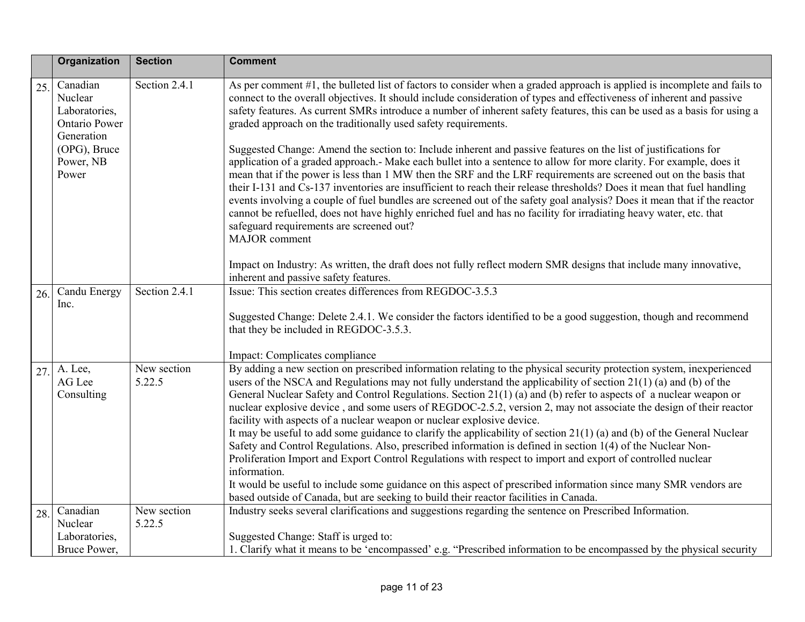|     | Organization                                                               | <b>Section</b>        | <b>Comment</b>                                                                                                                                                                                                                                                                                                                                                                                                                                                                                                                                                                                                                                                                                                                                                                                                                                                                                                                                                                                                                                                                                                                                      |
|-----|----------------------------------------------------------------------------|-----------------------|-----------------------------------------------------------------------------------------------------------------------------------------------------------------------------------------------------------------------------------------------------------------------------------------------------------------------------------------------------------------------------------------------------------------------------------------------------------------------------------------------------------------------------------------------------------------------------------------------------------------------------------------------------------------------------------------------------------------------------------------------------------------------------------------------------------------------------------------------------------------------------------------------------------------------------------------------------------------------------------------------------------------------------------------------------------------------------------------------------------------------------------------------------|
| 25. | Canadian<br>Nuclear<br>Laboratories,<br><b>Ontario Power</b><br>Generation | Section 2.4.1         | As per comment #1, the bulleted list of factors to consider when a graded approach is applied is incomplete and fails to<br>connect to the overall objectives. It should include consideration of types and effectiveness of inherent and passive<br>safety features. As current SMRs introduce a number of inherent safety features, this can be used as a basis for using a<br>graded approach on the traditionally used safety requirements.                                                                                                                                                                                                                                                                                                                                                                                                                                                                                                                                                                                                                                                                                                     |
|     | (OPG), Bruce<br>Power, NB<br>Power                                         |                       | Suggested Change: Amend the section to: Include inherent and passive features on the list of justifications for<br>application of a graded approach.- Make each bullet into a sentence to allow for more clarity. For example, does it<br>mean that if the power is less than 1 MW then the SRF and the LRF requirements are screened out on the basis that<br>their I-131 and Cs-137 inventories are insufficient to reach their release thresholds? Does it mean that fuel handling<br>events involving a couple of fuel bundles are screened out of the safety goal analysis? Does it mean that if the reactor<br>cannot be refuelled, does not have highly enriched fuel and has no facility for irradiating heavy water, etc. that<br>safeguard requirements are screened out?<br>MAJOR comment                                                                                                                                                                                                                                                                                                                                                |
|     |                                                                            |                       | Impact on Industry: As written, the draft does not fully reflect modern SMR designs that include many innovative,<br>inherent and passive safety features.                                                                                                                                                                                                                                                                                                                                                                                                                                                                                                                                                                                                                                                                                                                                                                                                                                                                                                                                                                                          |
| 26. | Candu Energy<br>Inc.                                                       | Section 2.4.1         | Issue: This section creates differences from REGDOC-3.5.3<br>Suggested Change: Delete 2.4.1. We consider the factors identified to be a good suggestion, though and recommend<br>that they be included in REGDOC-3.5.3.<br>Impact: Complicates compliance                                                                                                                                                                                                                                                                                                                                                                                                                                                                                                                                                                                                                                                                                                                                                                                                                                                                                           |
| 27. | A. Lee,<br>AG Lee<br>Consulting                                            | New section<br>5.22.5 | By adding a new section on prescribed information relating to the physical security protection system, inexperienced<br>users of the NSCA and Regulations may not fully understand the applicability of section 21(1) (a) and (b) of the<br>General Nuclear Safety and Control Regulations. Section 21(1) (a) and (b) refer to aspects of a nuclear weapon or<br>nuclear explosive device, and some users of REGDOC-2.5.2, version 2, may not associate the design of their reactor<br>facility with aspects of a nuclear weapon or nuclear explosive device.<br>It may be useful to add some guidance to clarify the applicability of section $21(1)$ (a) and (b) of the General Nuclear<br>Safety and Control Regulations. Also, prescribed information is defined in section 1(4) of the Nuclear Non-<br>Proliferation Import and Export Control Regulations with respect to import and export of controlled nuclear<br>information.<br>It would be useful to include some guidance on this aspect of prescribed information since many SMR vendors are<br>based outside of Canada, but are seeking to build their reactor facilities in Canada. |
| 28. | Canadian<br>Nuclear                                                        | New section<br>5.22.5 | Industry seeks several clarifications and suggestions regarding the sentence on Prescribed Information.                                                                                                                                                                                                                                                                                                                                                                                                                                                                                                                                                                                                                                                                                                                                                                                                                                                                                                                                                                                                                                             |
|     | Laboratories,<br>Bruce Power,                                              |                       | Suggested Change: Staff is urged to:<br>1. Clarify what it means to be 'encompassed' e.g. "Prescribed information to be encompassed by the physical security                                                                                                                                                                                                                                                                                                                                                                                                                                                                                                                                                                                                                                                                                                                                                                                                                                                                                                                                                                                        |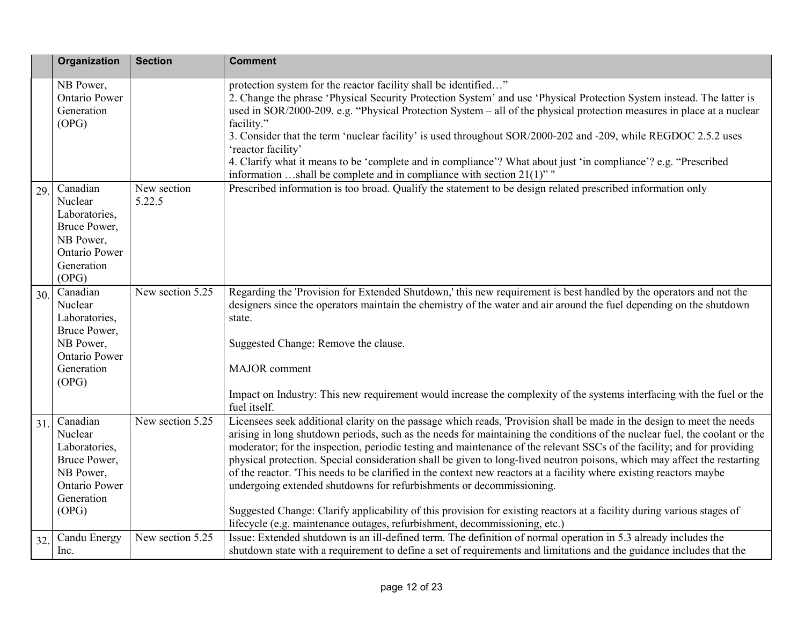|     | Organization                                                                                                     | <b>Section</b>        | <b>Comment</b>                                                                                                                                                                                                                                                                                                                                                                                                                                                                                                                                                                                                                                                                                                                                                                                                                                                                                                    |
|-----|------------------------------------------------------------------------------------------------------------------|-----------------------|-------------------------------------------------------------------------------------------------------------------------------------------------------------------------------------------------------------------------------------------------------------------------------------------------------------------------------------------------------------------------------------------------------------------------------------------------------------------------------------------------------------------------------------------------------------------------------------------------------------------------------------------------------------------------------------------------------------------------------------------------------------------------------------------------------------------------------------------------------------------------------------------------------------------|
|     | NB Power,<br><b>Ontario Power</b><br>Generation<br>(OPG)                                                         |                       | protection system for the reactor facility shall be identified"<br>2. Change the phrase 'Physical Security Protection System' and use 'Physical Protection System instead. The latter is<br>used in SOR/2000-209. e.g. "Physical Protection System – all of the physical protection measures in place at a nuclear<br>facility."<br>3. Consider that the term 'nuclear facility' is used throughout SOR/2000-202 and -209, while REGDOC 2.5.2 uses<br>'reactor facility'<br>4. Clarify what it means to be 'complete and in compliance'? What about just 'in compliance'? e.g. "Prescribed<br>information shall be complete and in compliance with section $21(1)$ "                                                                                                                                                                                                                                              |
| 29. | Canadian<br>Nuclear<br>Laboratories,<br>Bruce Power,<br>NB Power,<br>Ontario Power<br>Generation<br>(OPG)        | New section<br>5.22.5 | Prescribed information is too broad. Qualify the statement to be design related prescribed information only                                                                                                                                                                                                                                                                                                                                                                                                                                                                                                                                                                                                                                                                                                                                                                                                       |
| 30. | Canadian<br>Nuclear<br>Laboratories,<br>Bruce Power,<br>NB Power,<br><b>Ontario Power</b><br>Generation<br>(OPG) | New section 5.25      | Regarding the 'Provision for Extended Shutdown,' this new requirement is best handled by the operators and not the<br>designers since the operators maintain the chemistry of the water and air around the fuel depending on the shutdown<br>state.<br>Suggested Change: Remove the clause.<br>MAJOR comment<br>Impact on Industry: This new requirement would increase the complexity of the systems interfacing with the fuel or the<br>fuel itself.                                                                                                                                                                                                                                                                                                                                                                                                                                                            |
| 31. | Canadian<br>Nuclear<br>Laboratories,<br>Bruce Power,<br>NB Power,<br>Ontario Power<br>Generation<br>(OPG)        | New section 5.25      | Licensees seek additional clarity on the passage which reads, 'Provision shall be made in the design to meet the needs<br>arising in long shutdown periods, such as the needs for maintaining the conditions of the nuclear fuel, the coolant or the<br>moderator; for the inspection, periodic testing and maintenance of the relevant SSCs of the facility; and for providing<br>physical protection. Special consideration shall be given to long-lived neutron poisons, which may affect the restarting<br>of the reactor. This needs to be clarified in the context new reactors at a facility where existing reactors maybe<br>undergoing extended shutdowns for refurbishments or decommissioning.<br>Suggested Change: Clarify applicability of this provision for existing reactors at a facility during various stages of<br>lifecycle (e.g. maintenance outages, refurbishment, decommissioning, etc.) |
| 32. | Candu Energy<br>Inc.                                                                                             | New section 5.25      | Issue: Extended shutdown is an ill-defined term. The definition of normal operation in 5.3 already includes the<br>shutdown state with a requirement to define a set of requirements and limitations and the guidance includes that the                                                                                                                                                                                                                                                                                                                                                                                                                                                                                                                                                                                                                                                                           |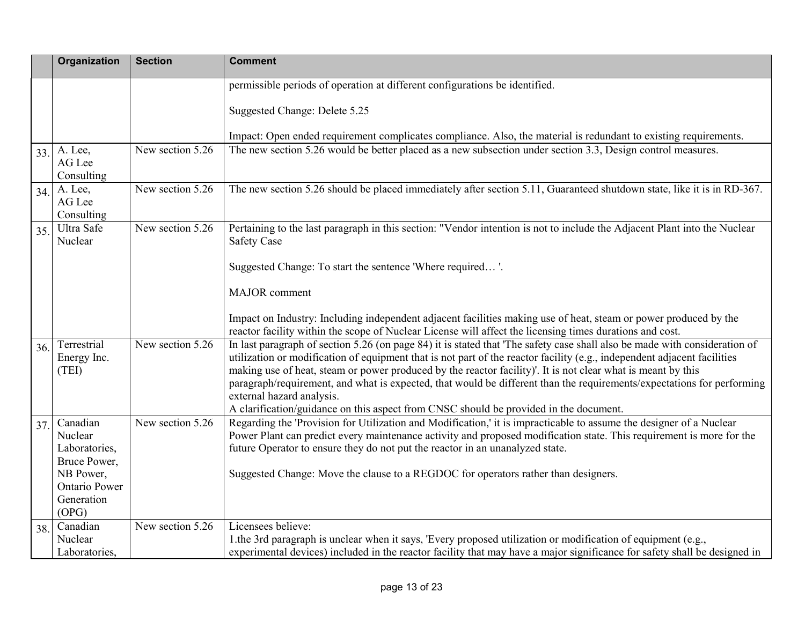|     | Organization                                             | <b>Section</b>   | <b>Comment</b>                                                                                                                                                                                                                                                                                                                                                                                                                                                                                                                                                                                                         |
|-----|----------------------------------------------------------|------------------|------------------------------------------------------------------------------------------------------------------------------------------------------------------------------------------------------------------------------------------------------------------------------------------------------------------------------------------------------------------------------------------------------------------------------------------------------------------------------------------------------------------------------------------------------------------------------------------------------------------------|
|     |                                                          |                  | permissible periods of operation at different configurations be identified.                                                                                                                                                                                                                                                                                                                                                                                                                                                                                                                                            |
|     |                                                          |                  | Suggested Change: Delete 5.25                                                                                                                                                                                                                                                                                                                                                                                                                                                                                                                                                                                          |
|     |                                                          |                  | Impact: Open ended requirement complicates compliance. Also, the material is redundant to existing requirements.                                                                                                                                                                                                                                                                                                                                                                                                                                                                                                       |
| 33. | A. Lee,<br>AG Lee<br>Consulting                          | New section 5.26 | The new section 5.26 would be better placed as a new subsection under section 3.3, Design control measures.                                                                                                                                                                                                                                                                                                                                                                                                                                                                                                            |
| 34. | A. Lee,<br>AG Lee<br>Consulting                          | New section 5.26 | The new section 5.26 should be placed immediately after section 5.11, Guaranteed shutdown state, like it is in RD-367.                                                                                                                                                                                                                                                                                                                                                                                                                                                                                                 |
| 35. | Ultra Safe<br>Nuclear                                    | New section 5.26 | Pertaining to the last paragraph in this section: "Vendor intention is not to include the Adjacent Plant into the Nuclear<br><b>Safety Case</b>                                                                                                                                                                                                                                                                                                                                                                                                                                                                        |
|     |                                                          |                  | Suggested Change: To start the sentence 'Where required'.                                                                                                                                                                                                                                                                                                                                                                                                                                                                                                                                                              |
|     |                                                          |                  | MAJOR comment                                                                                                                                                                                                                                                                                                                                                                                                                                                                                                                                                                                                          |
|     |                                                          |                  | Impact on Industry: Including independent adjacent facilities making use of heat, steam or power produced by the<br>reactor facility within the scope of Nuclear License will affect the licensing times durations and cost.                                                                                                                                                                                                                                                                                                                                                                                           |
| 36. | Terrestrial<br>Energy Inc.<br>(TEI)                      | New section 5.26 | In last paragraph of section 5.26 (on page 84) it is stated that 'The safety case shall also be made with consideration of<br>utilization or modification of equipment that is not part of the reactor facility (e.g., independent adjacent facilities<br>making use of heat, steam or power produced by the reactor facility)'. It is not clear what is meant by this<br>paragraph/requirement, and what is expected, that would be different than the requirements/expectations for performing<br>external hazard analysis.<br>A clarification/guidance on this aspect from CNSC should be provided in the document. |
| 37. | Canadian<br>Nuclear<br>Laboratories,<br>Bruce Power,     | New section 5.26 | Regarding the 'Provision for Utilization and Modification,' it is impracticable to assume the designer of a Nuclear<br>Power Plant can predict every maintenance activity and proposed modification state. This requirement is more for the<br>future Operator to ensure they do not put the reactor in an unanalyzed state.                                                                                                                                                                                                                                                                                           |
|     | NB Power,<br><b>Ontario Power</b><br>Generation<br>(OPG) |                  | Suggested Change: Move the clause to a REGDOC for operators rather than designers.                                                                                                                                                                                                                                                                                                                                                                                                                                                                                                                                     |
| 38. | Canadian<br>Nuclear<br>Laboratories,                     | New section 5.26 | Licensees believe:<br>1.the 3rd paragraph is unclear when it says, 'Every proposed utilization or modification of equipment (e.g.,<br>experimental devices) included in the reactor facility that may have a major significance for safety shall be designed in                                                                                                                                                                                                                                                                                                                                                        |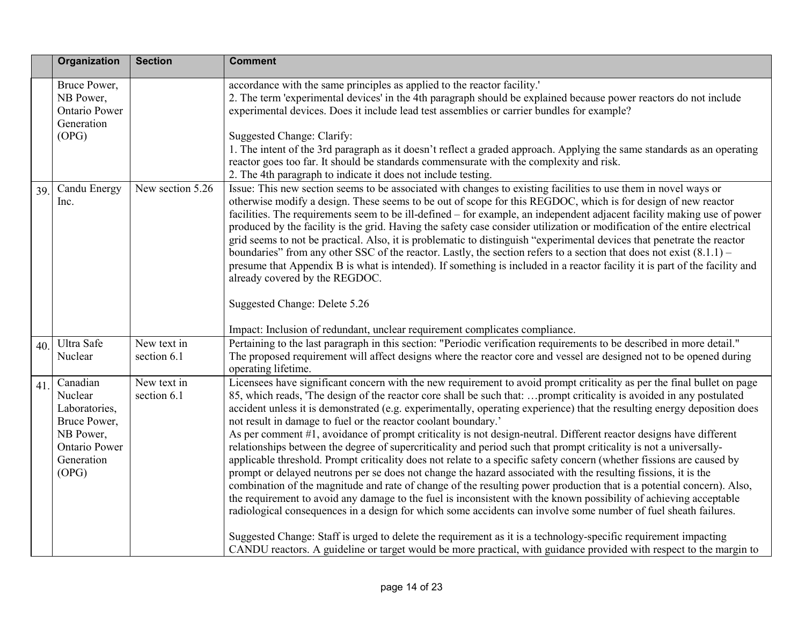|     | Organization                                                                                                     | <b>Section</b>             | <b>Comment</b>                                                                                                                                                                                                                                                                                                                                                                                                                                                                                                                                                                                                                                                                                                                                                                                                                                                                                                                                                                                                                                                                                                                                                                                                                                                                                                                                                                                                                                                                                                                                   |
|-----|------------------------------------------------------------------------------------------------------------------|----------------------------|--------------------------------------------------------------------------------------------------------------------------------------------------------------------------------------------------------------------------------------------------------------------------------------------------------------------------------------------------------------------------------------------------------------------------------------------------------------------------------------------------------------------------------------------------------------------------------------------------------------------------------------------------------------------------------------------------------------------------------------------------------------------------------------------------------------------------------------------------------------------------------------------------------------------------------------------------------------------------------------------------------------------------------------------------------------------------------------------------------------------------------------------------------------------------------------------------------------------------------------------------------------------------------------------------------------------------------------------------------------------------------------------------------------------------------------------------------------------------------------------------------------------------------------------------|
|     | Bruce Power,<br>NB Power,<br><b>Ontario Power</b><br>Generation<br>(OPG)                                         |                            | accordance with the same principles as applied to the reactor facility.'<br>2. The term 'experimental devices' in the 4th paragraph should be explained because power reactors do not include<br>experimental devices. Does it include lead test assemblies or carrier bundles for example?<br>Suggested Change: Clarify:<br>1. The intent of the 3rd paragraph as it doesn't reflect a graded approach. Applying the same standards as an operating<br>reactor goes too far. It should be standards commensurate with the complexity and risk.                                                                                                                                                                                                                                                                                                                                                                                                                                                                                                                                                                                                                                                                                                                                                                                                                                                                                                                                                                                                  |
| 39. | Candu Energy<br>Inc.                                                                                             | New section 5.26           | 2. The 4th paragraph to indicate it does not include testing.<br>Issue: This new section seems to be associated with changes to existing facilities to use them in novel ways or<br>otherwise modify a design. These seems to be out of scope for this REGDOC, which is for design of new reactor<br>facilities. The requirements seem to be ill-defined – for example, an independent adjacent facility making use of power<br>produced by the facility is the grid. Having the safety case consider utilization or modification of the entire electrical<br>grid seems to not be practical. Also, it is problematic to distinguish "experimental devices that penetrate the reactor<br>boundaries" from any other SSC of the reactor. Lastly, the section refers to a section that does not exist $(8.1.1)$ –<br>presume that Appendix B is what is intended). If something is included in a reactor facility it is part of the facility and<br>already covered by the REGDOC.                                                                                                                                                                                                                                                                                                                                                                                                                                                                                                                                                                 |
|     | Ultra Safe                                                                                                       | New text in                | Suggested Change: Delete 5.26<br>Impact: Inclusion of redundant, unclear requirement complicates compliance.<br>Pertaining to the last paragraph in this section: "Periodic verification requirements to be described in more detail."                                                                                                                                                                                                                                                                                                                                                                                                                                                                                                                                                                                                                                                                                                                                                                                                                                                                                                                                                                                                                                                                                                                                                                                                                                                                                                           |
| 40. | Nuclear                                                                                                          | section 6.1                | The proposed requirement will affect designs where the reactor core and vessel are designed not to be opened during<br>operating lifetime.                                                                                                                                                                                                                                                                                                                                                                                                                                                                                                                                                                                                                                                                                                                                                                                                                                                                                                                                                                                                                                                                                                                                                                                                                                                                                                                                                                                                       |
| 41. | Canadian<br>Nuclear<br>Laboratories,<br>Bruce Power,<br>NB Power,<br><b>Ontario Power</b><br>Generation<br>(OPG) | New text in<br>section 6.1 | Licensees have significant concern with the new requirement to avoid prompt criticality as per the final bullet on page<br>85, which reads, 'The design of the reactor core shall be such that: prompt criticality is avoided in any postulated<br>accident unless it is demonstrated (e.g. experimentally, operating experience) that the resulting energy deposition does<br>not result in damage to fuel or the reactor coolant boundary.'<br>As per comment #1, avoidance of prompt criticality is not design-neutral. Different reactor designs have different<br>relationships between the degree of supercriticality and period such that prompt criticality is not a universally-<br>applicable threshold. Prompt criticality does not relate to a specific safety concern (whether fissions are caused by<br>prompt or delayed neutrons per se does not change the hazard associated with the resulting fissions, it is the<br>combination of the magnitude and rate of change of the resulting power production that is a potential concern). Also,<br>the requirement to avoid any damage to the fuel is inconsistent with the known possibility of achieving acceptable<br>radiological consequences in a design for which some accidents can involve some number of fuel sheath failures.<br>Suggested Change: Staff is urged to delete the requirement as it is a technology-specific requirement impacting<br>CANDU reactors. A guideline or target would be more practical, with guidance provided with respect to the margin to |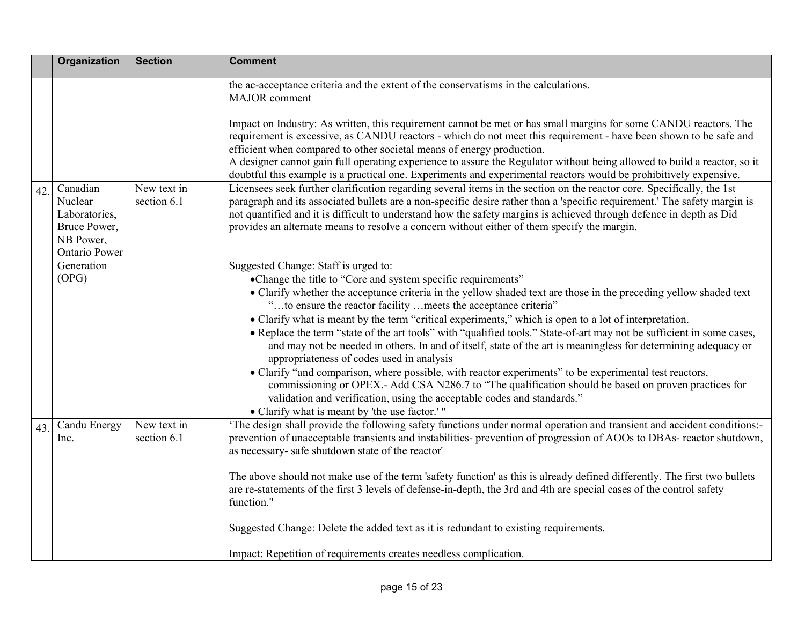|     | Organization                                                                              | <b>Section</b>             | <b>Comment</b>                                                                                                                                                                                                                                                                                                                                                                                                                                                                                                                                                                                                                                                                                                                                                                                                                                                                                                                                                                                                                              |
|-----|-------------------------------------------------------------------------------------------|----------------------------|---------------------------------------------------------------------------------------------------------------------------------------------------------------------------------------------------------------------------------------------------------------------------------------------------------------------------------------------------------------------------------------------------------------------------------------------------------------------------------------------------------------------------------------------------------------------------------------------------------------------------------------------------------------------------------------------------------------------------------------------------------------------------------------------------------------------------------------------------------------------------------------------------------------------------------------------------------------------------------------------------------------------------------------------|
|     |                                                                                           |                            | the ac-acceptance criteria and the extent of the conservatisms in the calculations.<br><b>MAJOR</b> comment<br>Impact on Industry: As written, this requirement cannot be met or has small margins for some CANDU reactors. The<br>requirement is excessive, as CANDU reactors - which do not meet this requirement - have been shown to be safe and<br>efficient when compared to other societal means of energy production.<br>A designer cannot gain full operating experience to assure the Regulator without being allowed to build a reactor, so it                                                                                                                                                                                                                                                                                                                                                                                                                                                                                   |
| 42. | Canadian<br>Nuclear<br>Laboratories,<br>Bruce Power,<br>NB Power,<br><b>Ontario Power</b> | New text in<br>section 6.1 | doubtful this example is a practical one. Experiments and experimental reactors would be prohibitively expensive.<br>Licensees seek further clarification regarding several items in the section on the reactor core. Specifically, the 1st<br>paragraph and its associated bullets are a non-specific desire rather than a 'specific requirement.' The safety margin is<br>not quantified and it is difficult to understand how the safety margins is achieved through defence in depth as Did<br>provides an alternate means to resolve a concern without either of them specify the margin.                                                                                                                                                                                                                                                                                                                                                                                                                                              |
|     | Generation<br>(OPG)                                                                       |                            | Suggested Change: Staff is urged to:<br>•Change the title to "Core and system specific requirements"<br>• Clarify whether the acceptance criteria in the yellow shaded text are those in the preceding yellow shaded text<br>"to ensure the reactor facility meets the acceptance criteria"<br>• Clarify what is meant by the term "critical experiments," which is open to a lot of interpretation.<br>• Replace the term "state of the art tools" with "qualified tools." State-of-art may not be sufficient in some cases,<br>and may not be needed in others. In and of itself, state of the art is meaningless for determining adequacy or<br>appropriateness of codes used in analysis<br>• Clarify "and comparison, where possible, with reactor experiments" to be experimental test reactors,<br>commissioning or OPEX.- Add CSA N286.7 to "The qualification should be based on proven practices for<br>validation and verification, using the acceptable codes and standards."<br>• Clarify what is meant by 'the use factor.' " |
| 43. | Candu Energy<br>Inc.                                                                      | New text in<br>section 6.1 | 'The design shall provide the following safety functions under normal operation and transient and accident conditions:-<br>prevention of unacceptable transients and instabilities- prevention of progression of AOOs to DBAs- reactor shutdown,<br>as necessary- safe shutdown state of the reactor'<br>The above should not make use of the term 'safety function' as this is already defined differently. The first two bullets<br>are re-statements of the first 3 levels of defense-in-depth, the 3rd and 4th are special cases of the control safety<br>function."<br>Suggested Change: Delete the added text as it is redundant to existing requirements.<br>Impact: Repetition of requirements creates needless complication.                                                                                                                                                                                                                                                                                                       |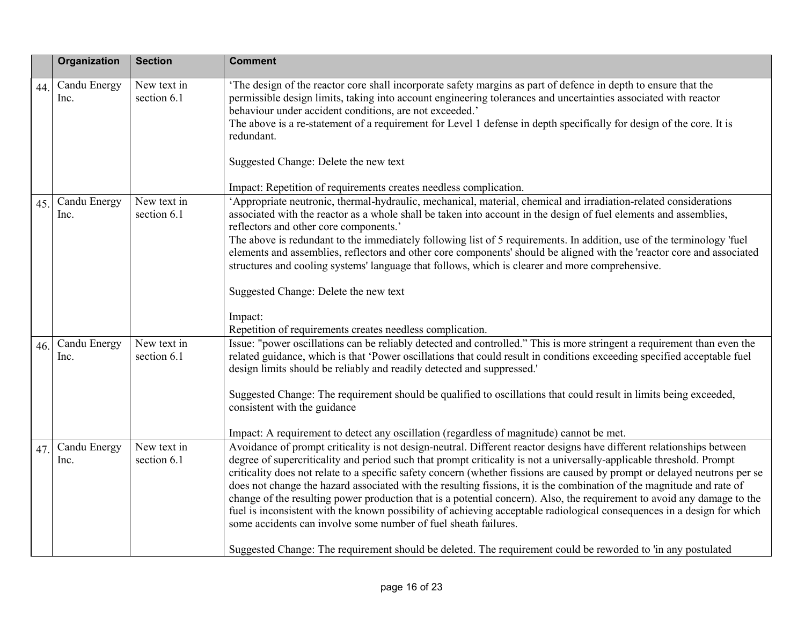|     | Organization         | <b>Section</b>             | <b>Comment</b>                                                                                                                                                                                                                                                                                                                                                                                                                                                                                                                                                                                                                                                                                                                                                                                                                                                                                                                                |
|-----|----------------------|----------------------------|-----------------------------------------------------------------------------------------------------------------------------------------------------------------------------------------------------------------------------------------------------------------------------------------------------------------------------------------------------------------------------------------------------------------------------------------------------------------------------------------------------------------------------------------------------------------------------------------------------------------------------------------------------------------------------------------------------------------------------------------------------------------------------------------------------------------------------------------------------------------------------------------------------------------------------------------------|
| 44. | Candu Energy<br>Inc. | New text in<br>section 6.1 | The design of the reactor core shall incorporate safety margins as part of defence in depth to ensure that the<br>permissible design limits, taking into account engineering tolerances and uncertainties associated with reactor<br>behaviour under accident conditions, are not exceeded.'<br>The above is a re-statement of a requirement for Level 1 defense in depth specifically for design of the core. It is<br>redundant.<br>Suggested Change: Delete the new text<br>Impact: Repetition of requirements creates needless complication.                                                                                                                                                                                                                                                                                                                                                                                              |
| 45. | Candu Energy<br>Inc. | New text in<br>section 6.1 | 'Appropriate neutronic, thermal-hydraulic, mechanical, material, chemical and irradiation-related considerations<br>associated with the reactor as a whole shall be taken into account in the design of fuel elements and assemblies,<br>reflectors and other core components.'<br>The above is redundant to the immediately following list of 5 requirements. In addition, use of the terminology 'fuel<br>elements and assemblies, reflectors and other core components' should be aligned with the 'reactor core and associated<br>structures and cooling systems' language that follows, which is clearer and more comprehensive.<br>Suggested Change: Delete the new text<br>Impact:<br>Repetition of requirements creates needless complication.                                                                                                                                                                                        |
| 46. | Candu Energy<br>Inc. | New text in<br>section 6.1 | Issue: "power oscillations can be reliably detected and controlled." This is more stringent a requirement than even the<br>related guidance, which is that 'Power oscillations that could result in conditions exceeding specified acceptable fuel<br>design limits should be reliably and readily detected and suppressed.'<br>Suggested Change: The requirement should be qualified to oscillations that could result in limits being exceeded,<br>consistent with the guidance<br>Impact: A requirement to detect any oscillation (regardless of magnitude) cannot be met.                                                                                                                                                                                                                                                                                                                                                                 |
| 47. | Candu Energy<br>Inc. | New text in<br>section 6.1 | Avoidance of prompt criticality is not design-neutral. Different reactor designs have different relationships between<br>degree of supercriticality and period such that prompt criticality is not a universally-applicable threshold. Prompt<br>criticality does not relate to a specific safety concern (whether fissions are caused by prompt or delayed neutrons per se<br>does not change the hazard associated with the resulting fissions, it is the combination of the magnitude and rate of<br>change of the resulting power production that is a potential concern). Also, the requirement to avoid any damage to the<br>fuel is inconsistent with the known possibility of achieving acceptable radiological consequences in a design for which<br>some accidents can involve some number of fuel sheath failures.<br>Suggested Change: The requirement should be deleted. The requirement could be reworded to 'in any postulated |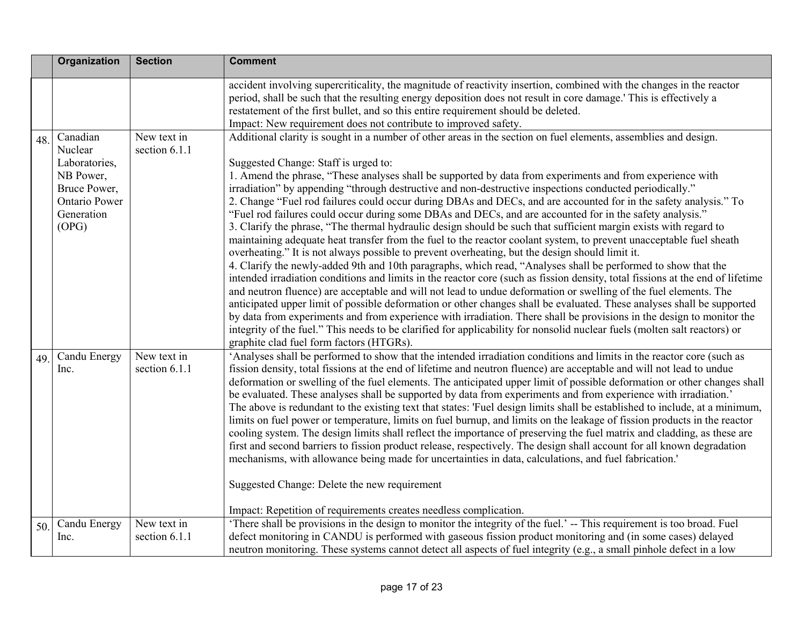|     | <b>Organization</b>                                                                                              | <b>Section</b>               | <b>Comment</b>                                                                                                                                                                                                                                                                                                                                                                                                                                                                                                                                                                                                                                                                                                                                                                                                                                                                                                                                                                                                                                                                                                                                                                                                                                                                                                                                                                                                                                                                                                                                                                                                                                                                                                                                                   |
|-----|------------------------------------------------------------------------------------------------------------------|------------------------------|------------------------------------------------------------------------------------------------------------------------------------------------------------------------------------------------------------------------------------------------------------------------------------------------------------------------------------------------------------------------------------------------------------------------------------------------------------------------------------------------------------------------------------------------------------------------------------------------------------------------------------------------------------------------------------------------------------------------------------------------------------------------------------------------------------------------------------------------------------------------------------------------------------------------------------------------------------------------------------------------------------------------------------------------------------------------------------------------------------------------------------------------------------------------------------------------------------------------------------------------------------------------------------------------------------------------------------------------------------------------------------------------------------------------------------------------------------------------------------------------------------------------------------------------------------------------------------------------------------------------------------------------------------------------------------------------------------------------------------------------------------------|
|     |                                                                                                                  |                              | accident involving supercriticality, the magnitude of reactivity insertion, combined with the changes in the reactor<br>period, shall be such that the resulting energy deposition does not result in core damage.' This is effectively a<br>restatement of the first bullet, and so this entire requirement should be deleted.<br>Impact: New requirement does not contribute to improved safety.                                                                                                                                                                                                                                                                                                                                                                                                                                                                                                                                                                                                                                                                                                                                                                                                                                                                                                                                                                                                                                                                                                                                                                                                                                                                                                                                                               |
| 48. | Canadian<br>Nuclear<br>Laboratories,<br>NB Power,<br>Bruce Power,<br><b>Ontario Power</b><br>Generation<br>(OPG) | New text in<br>section 6.1.1 | Additional clarity is sought in a number of other areas in the section on fuel elements, assemblies and design.<br>Suggested Change: Staff is urged to:<br>1. Amend the phrase, "These analyses shall be supported by data from experiments and from experience with<br>irradiation" by appending "through destructive and non-destructive inspections conducted periodically."<br>2. Change "Fuel rod failures could occur during DBAs and DECs, and are accounted for in the safety analysis." To<br>"Fuel rod failures could occur during some DBAs and DECs, and are accounted for in the safety analysis."<br>3. Clarify the phrase, "The thermal hydraulic design should be such that sufficient margin exists with regard to<br>maintaining adequate heat transfer from the fuel to the reactor coolant system, to prevent unacceptable fuel sheath<br>overheating." It is not always possible to prevent overheating, but the design should limit it.<br>4. Clarify the newly-added 9th and 10th paragraphs, which read, "Analyses shall be performed to show that the<br>intended irradiation conditions and limits in the reactor core (such as fission density, total fissions at the end of lifetime<br>and neutron fluence) are acceptable and will not lead to undue deformation or swelling of the fuel elements. The<br>anticipated upper limit of possible deformation or other changes shall be evaluated. These analyses shall be supported<br>by data from experiments and from experience with irradiation. There shall be provisions in the design to monitor the<br>integrity of the fuel." This needs to be clarified for applicability for nonsolid nuclear fuels (molten salt reactors) or<br>graphite clad fuel form factors (HTGRs). |
| 49. | Candu Energy<br>Inc.                                                                                             | New text in<br>section 6.1.1 | 'Analyses shall be performed to show that the intended irradiation conditions and limits in the reactor core (such as<br>fission density, total fissions at the end of lifetime and neutron fluence) are acceptable and will not lead to undue<br>deformation or swelling of the fuel elements. The anticipated upper limit of possible deformation or other changes shall<br>be evaluated. These analyses shall be supported by data from experiments and from experience with irradiation.'<br>The above is redundant to the existing text that states: 'Fuel design limits shall be established to include, at a minimum,<br>limits on fuel power or temperature, limits on fuel burnup, and limits on the leakage of fission products in the reactor<br>cooling system. The design limits shall reflect the importance of preserving the fuel matrix and cladding, as these are<br>first and second barriers to fission product release, respectively. The design shall account for all known degradation<br>mechanisms, with allowance being made for uncertainties in data, calculations, and fuel fabrication.'<br>Suggested Change: Delete the new requirement<br>Impact: Repetition of requirements creates needless complication.                                                                                                                                                                                                                                                                                                                                                                                                                                                                                                                      |
| 50. | Candu Energy<br>Inc.                                                                                             | New text in<br>section 6.1.1 | 'There shall be provisions in the design to monitor the integrity of the fuel.' -- This requirement is too broad. Fuel<br>defect monitoring in CANDU is performed with gaseous fission product monitoring and (in some cases) delayed<br>neutron monitoring. These systems cannot detect all aspects of fuel integrity (e.g., a small pinhole defect in a low                                                                                                                                                                                                                                                                                                                                                                                                                                                                                                                                                                                                                                                                                                                                                                                                                                                                                                                                                                                                                                                                                                                                                                                                                                                                                                                                                                                                    |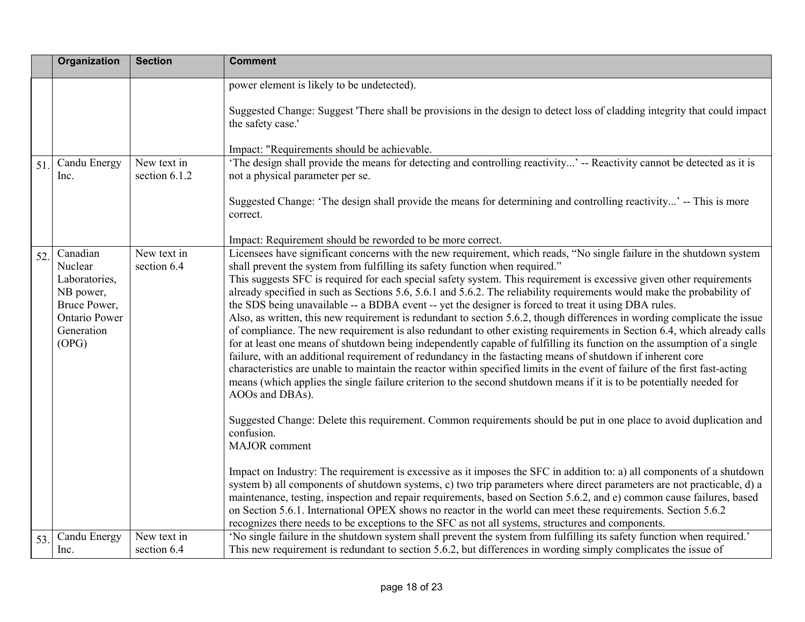|     | <b>Organization</b>                                                                                              | <b>Section</b>               | <b>Comment</b>                                                                                                                                                                                                                                                                                                                                                                                                                                                                                                                                                                                                                                                                                                                                                                                                                                                                                                                                                                                                                                                                                                                                                                                                                                                                                                                                                                                                                                                                                |
|-----|------------------------------------------------------------------------------------------------------------------|------------------------------|-----------------------------------------------------------------------------------------------------------------------------------------------------------------------------------------------------------------------------------------------------------------------------------------------------------------------------------------------------------------------------------------------------------------------------------------------------------------------------------------------------------------------------------------------------------------------------------------------------------------------------------------------------------------------------------------------------------------------------------------------------------------------------------------------------------------------------------------------------------------------------------------------------------------------------------------------------------------------------------------------------------------------------------------------------------------------------------------------------------------------------------------------------------------------------------------------------------------------------------------------------------------------------------------------------------------------------------------------------------------------------------------------------------------------------------------------------------------------------------------------|
|     |                                                                                                                  |                              | power element is likely to be undetected).<br>Suggested Change: Suggest 'There shall be provisions in the design to detect loss of cladding integrity that could impact<br>the safety case.'                                                                                                                                                                                                                                                                                                                                                                                                                                                                                                                                                                                                                                                                                                                                                                                                                                                                                                                                                                                                                                                                                                                                                                                                                                                                                                  |
|     |                                                                                                                  |                              | Impact: "Requirements should be achievable.                                                                                                                                                                                                                                                                                                                                                                                                                                                                                                                                                                                                                                                                                                                                                                                                                                                                                                                                                                                                                                                                                                                                                                                                                                                                                                                                                                                                                                                   |
| 51. | Candu Energy<br>lnc.                                                                                             | New text in<br>section 6.1.2 | 'The design shall provide the means for detecting and controlling reactivity' -- Reactivity cannot be detected as it is<br>not a physical parameter per se.<br>Suggested Change: 'The design shall provide the means for determining and controlling reactivity' -- This is more<br>correct.                                                                                                                                                                                                                                                                                                                                                                                                                                                                                                                                                                                                                                                                                                                                                                                                                                                                                                                                                                                                                                                                                                                                                                                                  |
|     |                                                                                                                  |                              | Impact: Requirement should be reworded to be more correct.                                                                                                                                                                                                                                                                                                                                                                                                                                                                                                                                                                                                                                                                                                                                                                                                                                                                                                                                                                                                                                                                                                                                                                                                                                                                                                                                                                                                                                    |
| 52. | Canadian<br>Nuclear<br>Laboratories,<br>NB power,<br>Bruce Power,<br><b>Ontario Power</b><br>Generation<br>(OPG) | New text in<br>section 6.4   | Licensees have significant concerns with the new requirement, which reads, "No single failure in the shutdown system<br>shall prevent the system from fulfilling its safety function when required."<br>This suggests SFC is required for each special safety system. This requirement is excessive given other requirements<br>already specified in such as Sections 5.6, 5.6.1 and 5.6.2. The reliability requirements would make the probability of<br>the SDS being unavailable -- a BDBA event -- yet the designer is forced to treat it using DBA rules.<br>Also, as written, this new requirement is redundant to section 5.6.2, though differences in wording complicate the issue<br>of compliance. The new requirement is also redundant to other existing requirements in Section 6.4, which already calls<br>for at least one means of shutdown being independently capable of fulfilling its function on the assumption of a single<br>failure, with an additional requirement of redundancy in the fastacting means of shutdown if inherent core<br>characteristics are unable to maintain the reactor within specified limits in the event of failure of the first fast-acting<br>means (which applies the single failure criterion to the second shutdown means if it is to be potentially needed for<br>AOOs and DBAs).<br>Suggested Change: Delete this requirement. Common requirements should be put in one place to avoid duplication and<br>confusion.<br>MAJOR comment |
|     |                                                                                                                  |                              | Impact on Industry: The requirement is excessive as it imposes the SFC in addition to: a) all components of a shutdown<br>system b) all components of shutdown systems, c) two trip parameters where direct parameters are not practicable, d) a<br>maintenance, testing, inspection and repair requirements, based on Section 5.6.2, and e) common cause failures, based<br>on Section 5.6.1. International OPEX shows no reactor in the world can meet these requirements. Section 5.6.2<br>recognizes there needs to be exceptions to the SFC as not all systems, structures and components.                                                                                                                                                                                                                                                                                                                                                                                                                                                                                                                                                                                                                                                                                                                                                                                                                                                                                               |
| 53. | Candu Energy<br>Inc.                                                                                             | New text in<br>section 6.4   | 'No single failure in the shutdown system shall prevent the system from fulfilling its safety function when required.'<br>This new requirement is redundant to section 5.6.2, but differences in wording simply complicates the issue of                                                                                                                                                                                                                                                                                                                                                                                                                                                                                                                                                                                                                                                                                                                                                                                                                                                                                                                                                                                                                                                                                                                                                                                                                                                      |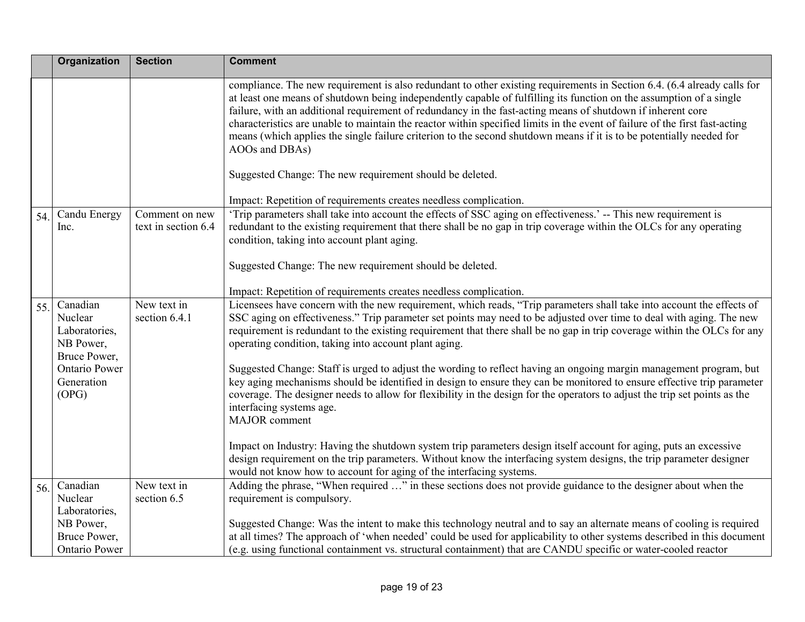|     | Organization                                                      | <b>Section</b>                        | <b>Comment</b>                                                                                                                                                                                                                                                                                                                                                                                                                                                                                                                                                                                                                                                                                     |
|-----|-------------------------------------------------------------------|---------------------------------------|----------------------------------------------------------------------------------------------------------------------------------------------------------------------------------------------------------------------------------------------------------------------------------------------------------------------------------------------------------------------------------------------------------------------------------------------------------------------------------------------------------------------------------------------------------------------------------------------------------------------------------------------------------------------------------------------------|
|     |                                                                   |                                       | compliance. The new requirement is also redundant to other existing requirements in Section 6.4. (6.4 already calls for<br>at least one means of shutdown being independently capable of fulfilling its function on the assumption of a single<br>failure, with an additional requirement of redundancy in the fast-acting means of shutdown if inherent core<br>characteristics are unable to maintain the reactor within specified limits in the event of failure of the first fast-acting<br>means (which applies the single failure criterion to the second shutdown means if it is to be potentially needed for<br>AOOs and DBAs)<br>Suggested Change: The new requirement should be deleted. |
|     |                                                                   |                                       | Impact: Repetition of requirements creates needless complication.                                                                                                                                                                                                                                                                                                                                                                                                                                                                                                                                                                                                                                  |
| 54. | Candu Energy<br>Inc.                                              | Comment on new<br>text in section 6.4 | 'Trip parameters shall take into account the effects of SSC aging on effectiveness.' -- This new requirement is<br>redundant to the existing requirement that there shall be no gap in trip coverage within the OLCs for any operating<br>condition, taking into account plant aging.<br>Suggested Change: The new requirement should be deleted.                                                                                                                                                                                                                                                                                                                                                  |
|     |                                                                   |                                       |                                                                                                                                                                                                                                                                                                                                                                                                                                                                                                                                                                                                                                                                                                    |
| 55. | Canadian<br>Nuclear<br>Laboratories,<br>NB Power,<br>Bruce Power, | New text in<br>section 6.4.1          | Impact: Repetition of requirements creates needless complication.<br>Licensees have concern with the new requirement, which reads, "Trip parameters shall take into account the effects of<br>SSC aging on effectiveness." Trip parameter set points may need to be adjusted over time to deal with aging. The new<br>requirement is redundant to the existing requirement that there shall be no gap in trip coverage within the OLCs for any<br>operating condition, taking into account plant aging.                                                                                                                                                                                            |
|     | Ontario Power<br>Generation<br>(OPG)                              |                                       | Suggested Change: Staff is urged to adjust the wording to reflect having an ongoing margin management program, but<br>key aging mechanisms should be identified in design to ensure they can be monitored to ensure effective trip parameter<br>coverage. The designer needs to allow for flexibility in the design for the operators to adjust the trip set points as the<br>interfacing systems age.<br><b>MAJOR</b> comment                                                                                                                                                                                                                                                                     |
|     |                                                                   |                                       | Impact on Industry: Having the shutdown system trip parameters design itself account for aging, puts an excessive<br>design requirement on the trip parameters. Without know the interfacing system designs, the trip parameter designer<br>would not know how to account for aging of the interfacing systems.                                                                                                                                                                                                                                                                                                                                                                                    |
| 56. | Canadian<br>Nuclear<br>Laboratories,                              | New text in<br>section 6.5            | Adding the phrase, "When required " in these sections does not provide guidance to the designer about when the<br>requirement is compulsory.                                                                                                                                                                                                                                                                                                                                                                                                                                                                                                                                                       |
|     | NB Power,<br>Bruce Power,<br><b>Ontario Power</b>                 |                                       | Suggested Change: Was the intent to make this technology neutral and to say an alternate means of cooling is required<br>at all times? The approach of 'when needed' could be used for applicability to other systems described in this document<br>(e.g. using functional containment vs. structural containment) that are CANDU specific or water-cooled reactor                                                                                                                                                                                                                                                                                                                                 |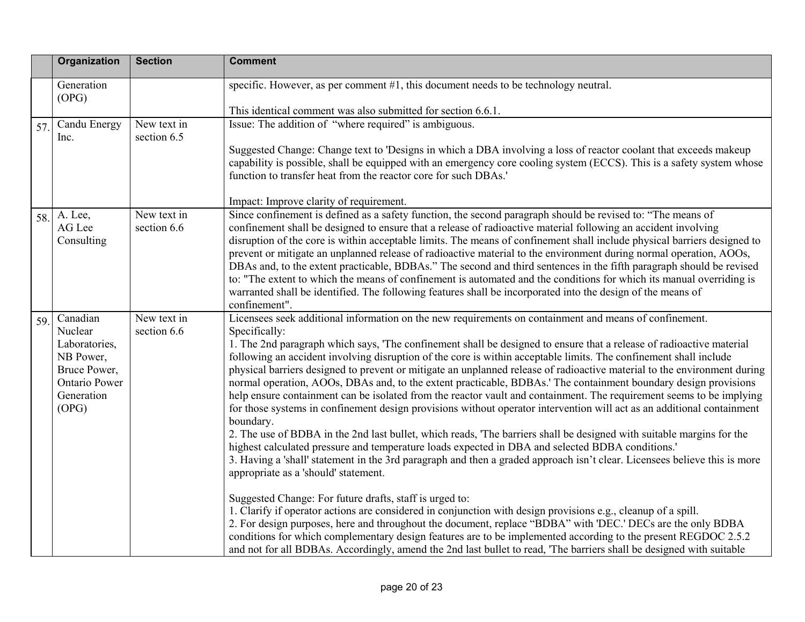|     | Organization                                                                                                     | <b>Section</b>             | <b>Comment</b>                                                                                                                                                                                                                                                                                                                                                                                                                                                                                                                                                                                                                                                                                                                                                                                                                                                                                                                                                                                                                                                                                                                                                                                                                                                                                                                                                                                                                                                                                                                                                                                                                                                                                    |
|-----|------------------------------------------------------------------------------------------------------------------|----------------------------|---------------------------------------------------------------------------------------------------------------------------------------------------------------------------------------------------------------------------------------------------------------------------------------------------------------------------------------------------------------------------------------------------------------------------------------------------------------------------------------------------------------------------------------------------------------------------------------------------------------------------------------------------------------------------------------------------------------------------------------------------------------------------------------------------------------------------------------------------------------------------------------------------------------------------------------------------------------------------------------------------------------------------------------------------------------------------------------------------------------------------------------------------------------------------------------------------------------------------------------------------------------------------------------------------------------------------------------------------------------------------------------------------------------------------------------------------------------------------------------------------------------------------------------------------------------------------------------------------------------------------------------------------------------------------------------------------|
|     | Generation<br>(OPG)                                                                                              |                            | specific. However, as per comment #1, this document needs to be technology neutral.                                                                                                                                                                                                                                                                                                                                                                                                                                                                                                                                                                                                                                                                                                                                                                                                                                                                                                                                                                                                                                                                                                                                                                                                                                                                                                                                                                                                                                                                                                                                                                                                               |
|     |                                                                                                                  |                            | This identical comment was also submitted for section 6.6.1.                                                                                                                                                                                                                                                                                                                                                                                                                                                                                                                                                                                                                                                                                                                                                                                                                                                                                                                                                                                                                                                                                                                                                                                                                                                                                                                                                                                                                                                                                                                                                                                                                                      |
| 57. | Candu Energy<br>Inc.                                                                                             | New text in<br>section 6.5 | Issue: The addition of "where required" is ambiguous.                                                                                                                                                                                                                                                                                                                                                                                                                                                                                                                                                                                                                                                                                                                                                                                                                                                                                                                                                                                                                                                                                                                                                                                                                                                                                                                                                                                                                                                                                                                                                                                                                                             |
|     |                                                                                                                  |                            | Suggested Change: Change text to 'Designs in which a DBA involving a loss of reactor coolant that exceeds makeup<br>capability is possible, shall be equipped with an emergency core cooling system (ECCS). This is a safety system whose<br>function to transfer heat from the reactor core for such DBAs.'                                                                                                                                                                                                                                                                                                                                                                                                                                                                                                                                                                                                                                                                                                                                                                                                                                                                                                                                                                                                                                                                                                                                                                                                                                                                                                                                                                                      |
|     |                                                                                                                  |                            | Impact: Improve clarity of requirement.                                                                                                                                                                                                                                                                                                                                                                                                                                                                                                                                                                                                                                                                                                                                                                                                                                                                                                                                                                                                                                                                                                                                                                                                                                                                                                                                                                                                                                                                                                                                                                                                                                                           |
| 58. | A. Lee,<br>AG Lee<br>Consulting                                                                                  | New text in<br>section 6.6 | Since confinement is defined as a safety function, the second paragraph should be revised to: "The means of<br>confinement shall be designed to ensure that a release of radioactive material following an accident involving<br>disruption of the core is within acceptable limits. The means of confinement shall include physical barriers designed to<br>prevent or mitigate an unplanned release of radioactive material to the environment during normal operation, AOOs,<br>DBAs and, to the extent practicable, BDBAs." The second and third sentences in the fifth paragraph should be revised<br>to: "The extent to which the means of confinement is automated and the conditions for which its manual overriding is<br>warranted shall be identified. The following features shall be incorporated into the design of the means of<br>confinement".                                                                                                                                                                                                                                                                                                                                                                                                                                                                                                                                                                                                                                                                                                                                                                                                                                   |
| 59. | Canadian<br>Nuclear<br>Laboratories,<br>NB Power,<br>Bruce Power,<br><b>Ontario Power</b><br>Generation<br>(OPG) | New text in<br>section 6.6 | Licensees seek additional information on the new requirements on containment and means of confinement.<br>Specifically:<br>1. The 2nd paragraph which says, 'The confinement shall be designed to ensure that a release of radioactive material<br>following an accident involving disruption of the core is within acceptable limits. The confinement shall include<br>physical barriers designed to prevent or mitigate an unplanned release of radioactive material to the environment during<br>normal operation, AOOs, DBAs and, to the extent practicable, BDBAs.' The containment boundary design provisions<br>help ensure containment can be isolated from the reactor vault and containment. The requirement seems to be implying<br>for those systems in confinement design provisions without operator intervention will act as an additional containment<br>boundary.<br>2. The use of BDBA in the 2nd last bullet, which reads, 'The barriers shall be designed with suitable margins for the<br>highest calculated pressure and temperature loads expected in DBA and selected BDBA conditions.'<br>3. Having a 'shall' statement in the 3rd paragraph and then a graded approach isn't clear. Licensees believe this is more<br>appropriate as a 'should' statement.<br>Suggested Change: For future drafts, staff is urged to:<br>1. Clarify if operator actions are considered in conjunction with design provisions e.g., cleanup of a spill.<br>2. For design purposes, here and throughout the document, replace "BDBA" with 'DEC.' DECs are the only BDBA<br>conditions for which complementary design features are to be implemented according to the present REGDOC 2.5.2 |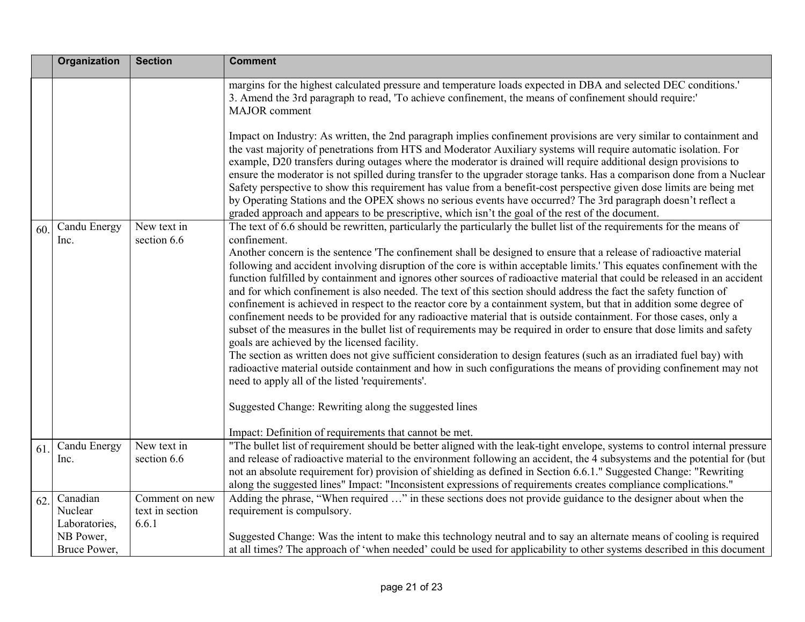|     | <b>Organization</b>                                               | <b>Section</b>                             | <b>Comment</b>                                                                                                                                                                                                                                                                                                                                                                                                                                                                                                                                                                                                                                                                                                                                                                                                                                                                                                                                                                                                                                                                                                                                                                                                                                                                                                                                                                                                                                                                            |
|-----|-------------------------------------------------------------------|--------------------------------------------|-------------------------------------------------------------------------------------------------------------------------------------------------------------------------------------------------------------------------------------------------------------------------------------------------------------------------------------------------------------------------------------------------------------------------------------------------------------------------------------------------------------------------------------------------------------------------------------------------------------------------------------------------------------------------------------------------------------------------------------------------------------------------------------------------------------------------------------------------------------------------------------------------------------------------------------------------------------------------------------------------------------------------------------------------------------------------------------------------------------------------------------------------------------------------------------------------------------------------------------------------------------------------------------------------------------------------------------------------------------------------------------------------------------------------------------------------------------------------------------------|
|     |                                                                   |                                            | margins for the highest calculated pressure and temperature loads expected in DBA and selected DEC conditions.'<br>3. Amend the 3rd paragraph to read, 'To achieve confinement, the means of confinement should require:'<br><b>MAJOR</b> comment                                                                                                                                                                                                                                                                                                                                                                                                                                                                                                                                                                                                                                                                                                                                                                                                                                                                                                                                                                                                                                                                                                                                                                                                                                         |
|     |                                                                   |                                            | Impact on Industry: As written, the 2nd paragraph implies confinement provisions are very similar to containment and<br>the vast majority of penetrations from HTS and Moderator Auxiliary systems will require automatic isolation. For<br>example, D20 transfers during outages where the moderator is drained will require additional design provisions to<br>ensure the moderator is not spilled during transfer to the upgrader storage tanks. Has a comparison done from a Nuclear<br>Safety perspective to show this requirement has value from a benefit-cost perspective given dose limits are being met<br>by Operating Stations and the OPEX shows no serious events have occurred? The 3rd paragraph doesn't reflect a<br>graded approach and appears to be prescriptive, which isn't the goal of the rest of the document.                                                                                                                                                                                                                                                                                                                                                                                                                                                                                                                                                                                                                                                   |
| 60  | Candu Energy<br>Inc.                                              | New text in<br>section 6.6                 | The text of 6.6 should be rewritten, particularly the particularly the bullet list of the requirements for the means of<br>confinement.<br>Another concern is the sentence 'The confinement shall be designed to ensure that a release of radioactive material<br>following and accident involving disruption of the core is within acceptable limits. This equates confinement with the<br>function fulfilled by containment and ignores other sources of radioactive material that could be released in an accident<br>and for which confinement is also needed. The text of this section should address the fact the safety function of<br>confinement is achieved in respect to the reactor core by a containment system, but that in addition some degree of<br>confinement needs to be provided for any radioactive material that is outside containment. For those cases, only a<br>subset of the measures in the bullet list of requirements may be required in order to ensure that dose limits and safety<br>goals are achieved by the licensed facility.<br>The section as written does not give sufficient consideration to design features (such as an irradiated fuel bay) with<br>radioactive material outside containment and how in such configurations the means of providing confinement may not<br>need to apply all of the listed 'requirements'.<br>Suggested Change: Rewriting along the suggested lines<br>Impact: Definition of requirements that cannot be met. |
| 61  | Candu Energy<br>Inc.                                              | New text in<br>section 6.6                 | "The bullet list of requirement should be better aligned with the leak-tight envelope, systems to control internal pressure<br>and release of radioactive material to the environment following an accident, the 4 subsystems and the potential for (but<br>not an absolute requirement for) provision of shielding as defined in Section 6.6.1." Suggested Change: "Rewriting<br>along the suggested lines" Impact: "Inconsistent expressions of requirements creates compliance complications."                                                                                                                                                                                                                                                                                                                                                                                                                                                                                                                                                                                                                                                                                                                                                                                                                                                                                                                                                                                         |
| 62. | Canadian<br>Nuclear<br>Laboratories,<br>NB Power,<br>Bruce Power, | Comment on new<br>text in section<br>6.6.1 | Adding the phrase, "When required " in these sections does not provide guidance to the designer about when the<br>requirement is compulsory.<br>Suggested Change: Was the intent to make this technology neutral and to say an alternate means of cooling is required<br>at all times? The approach of 'when needed' could be used for applicability to other systems described in this document                                                                                                                                                                                                                                                                                                                                                                                                                                                                                                                                                                                                                                                                                                                                                                                                                                                                                                                                                                                                                                                                                          |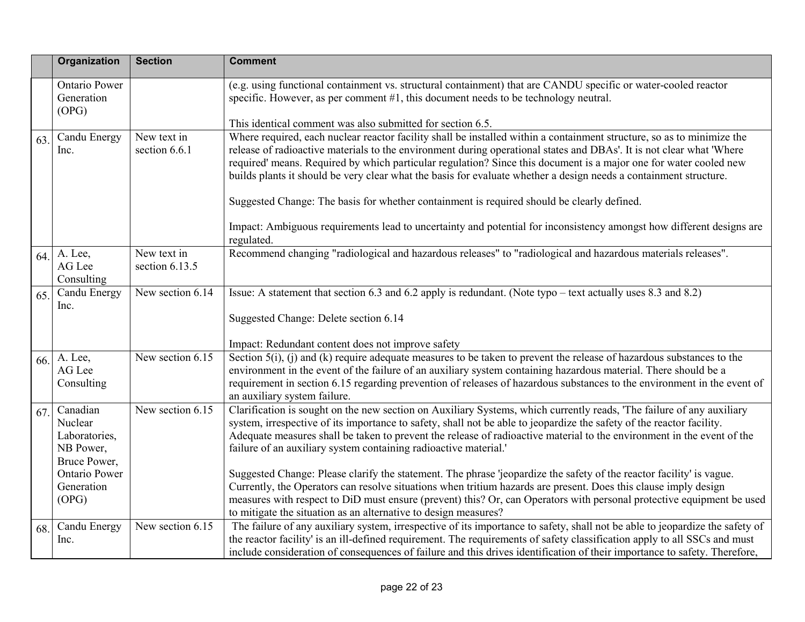|     | Organization                                                      | <b>Section</b>                | <b>Comment</b>                                                                                                                                                                                                                                                                                                                                                                                                                                                                           |
|-----|-------------------------------------------------------------------|-------------------------------|------------------------------------------------------------------------------------------------------------------------------------------------------------------------------------------------------------------------------------------------------------------------------------------------------------------------------------------------------------------------------------------------------------------------------------------------------------------------------------------|
|     | <b>Ontario Power</b><br>Generation<br>(OPG)                       |                               | (e.g. using functional containment vs. structural containment) that are CANDU specific or water-cooled reactor<br>specific. However, as per comment #1, this document needs to be technology neutral.                                                                                                                                                                                                                                                                                    |
|     |                                                                   |                               | This identical comment was also submitted for section 6.5.                                                                                                                                                                                                                                                                                                                                                                                                                               |
| 63. | Candu Energy<br>Inc.                                              | New text in<br>section 6.6.1  | Where required, each nuclear reactor facility shall be installed within a containment structure, so as to minimize the<br>release of radioactive materials to the environment during operational states and DBAs'. It is not clear what 'Where<br>required' means. Required by which particular regulation? Since this document is a major one for water cooled new<br>builds plants it should be very clear what the basis for evaluate whether a design needs a containment structure. |
|     |                                                                   |                               | Suggested Change: The basis for whether containment is required should be clearly defined.                                                                                                                                                                                                                                                                                                                                                                                               |
|     |                                                                   |                               | Impact: Ambiguous requirements lead to uncertainty and potential for inconsistency amongst how different designs are<br>regulated.                                                                                                                                                                                                                                                                                                                                                       |
| 64. | A. Lee,<br>AG Lee<br>Consulting                                   | New text in<br>section 6.13.5 | Recommend changing "radiological and hazardous releases" to "radiological and hazardous materials releases".                                                                                                                                                                                                                                                                                                                                                                             |
| 65. | Candu Energy<br>Inc.                                              | New section 6.14              | Issue: A statement that section 6.3 and 6.2 apply is redundant. (Note typo – text actually uses 8.3 and 8.2)                                                                                                                                                                                                                                                                                                                                                                             |
|     |                                                                   |                               | Suggested Change: Delete section 6.14                                                                                                                                                                                                                                                                                                                                                                                                                                                    |
|     |                                                                   |                               | Impact: Redundant content does not improve safety                                                                                                                                                                                                                                                                                                                                                                                                                                        |
| 66. | A. Lee,<br>AG Lee<br>Consulting                                   | New section 6.15              | Section $5(i)$ , (i) and (k) require adequate measures to be taken to prevent the release of hazardous substances to the<br>environment in the event of the failure of an auxiliary system containing hazardous material. There should be a<br>requirement in section 6.15 regarding prevention of releases of hazardous substances to the environment in the event of<br>an auxiliary system failure.                                                                                   |
| 67. | Canadian<br>Nuclear<br>Laboratories,<br>NB Power,<br>Bruce Power, | New section 6.15              | Clarification is sought on the new section on Auxiliary Systems, which currently reads, 'The failure of any auxiliary<br>system, irrespective of its importance to safety, shall not be able to jeopardize the safety of the reactor facility.<br>Adequate measures shall be taken to prevent the release of radioactive material to the environment in the event of the<br>failure of an auxiliary system containing radioactive material.'                                             |
|     | <b>Ontario Power</b>                                              |                               | Suggested Change: Please clarify the statement. The phrase 'jeopardize the safety of the reactor facility' is vague.                                                                                                                                                                                                                                                                                                                                                                     |
|     | Generation                                                        |                               | Currently, the Operators can resolve situations when tritium hazards are present. Does this clause imply design                                                                                                                                                                                                                                                                                                                                                                          |
|     | (OPG)                                                             |                               | measures with respect to DiD must ensure (prevent) this? Or, can Operators with personal protective equipment be used                                                                                                                                                                                                                                                                                                                                                                    |
|     |                                                                   | New section 6.15              | to mitigate the situation as an alternative to design measures?<br>The failure of any auxiliary system, irrespective of its importance to safety, shall not be able to jeopardize the safety of                                                                                                                                                                                                                                                                                          |
| 68. | Candu Energy<br>lnc.                                              |                               | the reactor facility' is an ill-defined requirement. The requirements of safety classification apply to all SSCs and must                                                                                                                                                                                                                                                                                                                                                                |
|     |                                                                   |                               | include consideration of consequences of failure and this drives identification of their importance to safety. Therefore,                                                                                                                                                                                                                                                                                                                                                                |